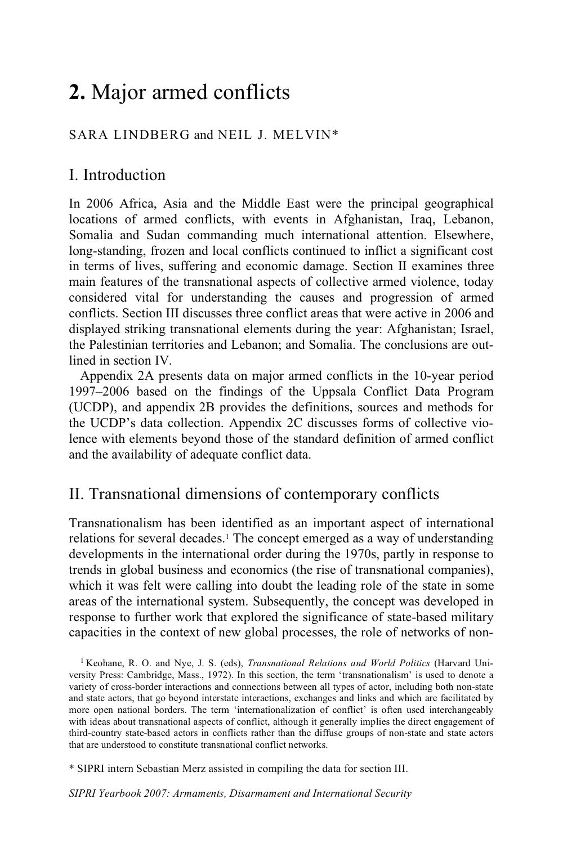# **2.** Major armed conflicts

## SARA LINDBERG and NEIL J. MELVIN\*

# I. Introduction

In 2006 Africa, Asia and the Middle East were the principal geographical locations of armed conflicts, with events in Afghanistan, Iraq, Lebanon, Somalia and Sudan commanding much international attention. Elsewhere, long-standing, frozen and local conflicts continued to inflict a significant cost in terms of lives, suffering and economic damage. Section II examines three main features of the transnational aspects of collective armed violence, today considered vital for understanding the causes and progression of armed conflicts. Section III discusses three conflict areas that were active in 2006 and displayed striking transnational elements during the year: Afghanistan; Israel, the Palestinian territories and Lebanon; and Somalia. The conclusions are outlined in section IV.

Appendix 2A presents data on major armed conflicts in the 10-year period 1997–2006 based on the findings of the Uppsala Conflict Data Program (UCDP), and appendix 2B provides the definitions, sources and methods for the UCDP's data collection. Appendix 2C discusses forms of collective violence with elements beyond those of the standard definition of armed conflict and the availability of adequate conflict data.

# II. Transnational dimensions of contemporary conflicts

Transnationalism has been identified as an important aspect of international relations for several decades.1 The concept emerged as a way of understanding developments in the international order during the 1970s, partly in response to trends in global business and economics (the rise of transnational companies), which it was felt were calling into doubt the leading role of the state in some areas of the international system. Subsequently, the concept was developed in response to further work that explored the significance of state-based military capacities in the context of new global processes, the role of networks of non-

<sup>1</sup> Keohane, R. O. and Nye, J. S. (eds), *Transnational Relations and World Politics* (Harvard University Press: Cambridge, Mass., 1972). In this section, the term 'transnationalism' is used to denote a variety of cross-border interactions and connections between all types of actor, including both non-state and state actors, that go beyond interstate interactions, exchanges and links and which are facilitated by more open national borders. The term 'internationalization of conflict' is often used interchangeably with ideas about transnational aspects of conflict, although it generally implies the direct engagement of third-country state-based actors in conflicts rather than the diffuse groups of non-state and state actors that are understood to constitute transnational conflict networks.

\* SIPRI intern Sebastian Merz assisted in compiling the data for section III.

*SIPRI Yearbook 2007: Armaments, Disarmament and International Security*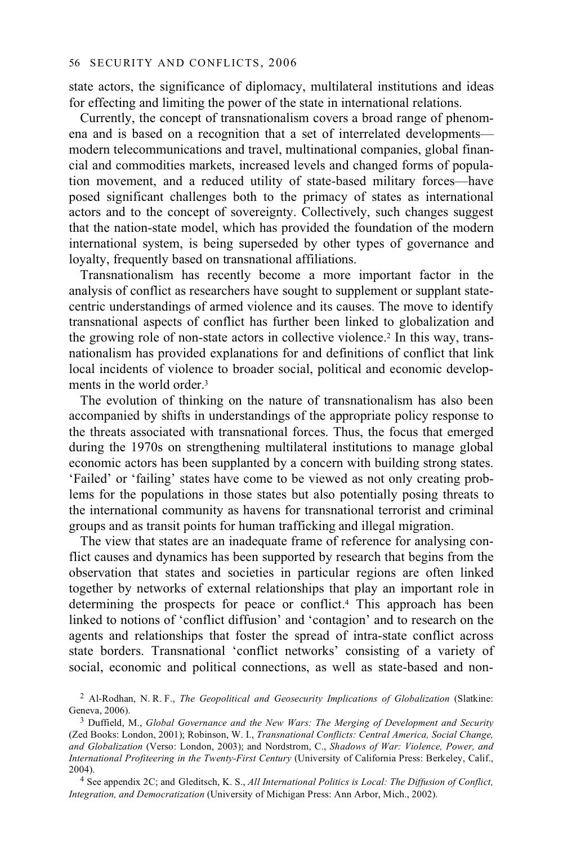state actors, the significance of diplomacy, multilateral institutions and ideas for effecting and limiting the power of the state in international relations.

Currently, the concept of transnationalism covers a broad range of phenomena and is based on a recognition that a set of interrelated developments modern telecommunications and travel, multinational companies, global financial and commodities markets, increased levels and changed forms of population movement, and a reduced utility of state-based military forces—have posed significant challenges both to the primacy of states as international actors and to the concept of sovereignty. Collectively, such changes suggest that the nation-state model, which has provided the foundation of the modern international system, is being superseded by other types of governance and loyalty, frequently based on transnational affiliations.

Transnationalism has recently become a more important factor in the analysis of conflict as researchers have sought to supplement or supplant statecentric understandings of armed violence and its causes. The move to identify transnational aspects of conflict has further been linked to globalization and the growing role of non-state actors in collective violence.2 In this way, transnationalism has provided explanations for and definitions of conflict that link local incidents of violence to broader social, political and economic developments in the world order<sup>3</sup>

The evolution of thinking on the nature of transnationalism has also been accompanied by shifts in understandings of the appropriate policy response to the threats associated with transnational forces. Thus, the focus that emerged during the 1970s on strengthening multilateral institutions to manage global economic actors has been supplanted by a concern with building strong states. 'Failed' or 'failing' states have come to be viewed as not only creating problems for the populations in those states but also potentially posing threats to the international community as havens for transnational terrorist and criminal groups and as transit points for human trafficking and illegal migration.

The view that states are an inadequate frame of reference for analysing conflict causes and dynamics has been supported by research that begins from the observation that states and societies in particular regions are often linked together by networks of external relationships that play an important role in determining the prospects for peace or conflict.4 This approach has been linked to notions of 'conflict diffusion' and 'contagion' and to research on the agents and relationships that foster the spread of intra-state conflict across state borders. Transnational 'conflict networks' consisting of a variety of social, economic and political connections, as well as state-based and non-

<sup>2</sup> Al-Rodhan, N. R. F., *The Geopolitical and Geosecurity Implications of Globalization* (Slatkine:

<sup>&</sup>lt;sup>3</sup> Duffield, M., *Global Governance and the New Wars: The Merging of Development and Security* (Zed Books: London, 2001); Robinson, W. I., *Transnational Conflicts: Central America, Social Change, and Globalization* (Verso: London, 2003); and Nordstrom, C., *Shadows of War: Violence, Power, and International Profiteering in the Twenty-First Century* (University of California Press: Berkeley, Calif.,

<sup>&</sup>lt;sup>4</sup> See appendix 2C; and Gleditsch, K. S., *All International Politics is Local: The Diffusion of Conflict, Integration, and Democratization* (University of Michigan Press: Ann Arbor, Mich., 2002).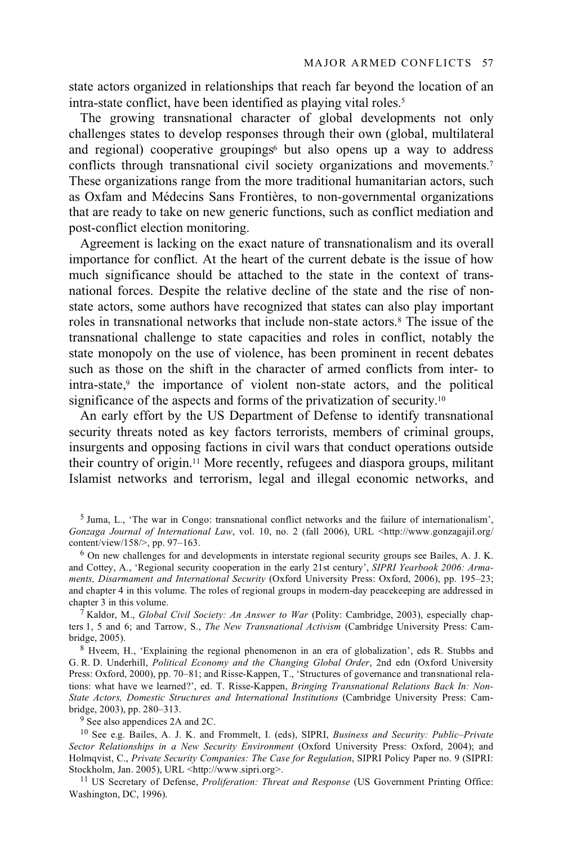state actors organized in relationships that reach far beyond the location of an intra-state conflict, have been identified as playing vital roles.5

The growing transnational character of global developments not only challenges states to develop responses through their own (global, multilateral and regional) cooperative groupings<sup> $6$ </sup> but also opens up a way to address conflicts through transnational civil society organizations and movements.7 These organizations range from the more traditional humanitarian actors, such as Oxfam and Médecins Sans Frontières, to non-governmental organizations that are ready to take on new generic functions, such as conflict mediation and post-conflict election monitoring.

Agreement is lacking on the exact nature of transnationalism and its overall importance for conflict. At the heart of the current debate is the issue of how much significance should be attached to the state in the context of transnational forces. Despite the relative decline of the state and the rise of nonstate actors, some authors have recognized that states can also play important roles in transnational networks that include non-state actors.<sup>8</sup> The issue of the transnational challenge to state capacities and roles in conflict, notably the state monopoly on the use of violence, has been prominent in recent debates such as those on the shift in the character of armed conflicts from inter- to intra-state,<sup>9</sup> the importance of violent non-state actors, and the political significance of the aspects and forms of the privatization of security.<sup>10</sup>

An early effort by the US Department of Defense to identify transnational security threats noted as key factors terrorists, members of criminal groups, insurgents and opposing factions in civil wars that conduct operations outside their country of origin.11 More recently, refugees and diaspora groups, militant Islamist networks and terrorism, legal and illegal economic networks, and

 $6$  On new challenges for and developments in interstate regional security groups see Bailes, A. J. K. and Cottey, A., 'Regional security cooperation in the early 21st century', *SIPRI Yearbook 2006: Armaments, Disarmament and International Security* (Oxford University Press: Oxford, 2006), pp. 195–23; and chapter 4 in this volume. The roles of regional groups in modern-day peacekeeping are addressed in chapter 3 in this volume. 7 Kaldor, M., *Global Civil Society: An Answer to War* (Polity: Cambridge, 2003), especially chap-

ters 1, 5 and 6; and Tarrow, S., *The New Transnational Activism* (Cambridge University Press: Cambridge, 2005). 8 Hveem, H., 'Explaining the regional phenomenon in an era of globalization', eds R. Stubbs and

G. R. D. Underhill, *Political Economy and the Changing Global Order*, 2nd edn (Oxford University Press: Oxford, 2000), pp. 70–81; and Risse-Kappen, T., 'Structures of governance and transnational relations: what have we learned?', ed. T. Risse-Kappen, *Bringing Transnational Relations Back In: Non-State Actors, Domestic Structures and International Institutions* (Cambridge University Press: Cam-

 $9$  See also appendices 2A and 2C.

10 See e.g. Bailes, A. J. K. and Frommelt, I. (eds), SIPRI, *Business and Security: Public–Private Sector Relationships in a New Security Environment* (Oxford University Press: Oxford, 2004); and Holmqvist, C., *Private Security Companies: The Case for Regulation*, SIPRI Policy Paper no. 9 (SIPRI:

<sup>11</sup> US Secretary of Defense, *Proliferation: Threat and Response* (US Government Printing Office: Washington, DC, 1996).

 $<sup>5</sup>$  Juma, L., 'The war in Congo: transnational conflict networks and the failure of internationalism',</sup> *Gonzaga Journal of International Law*, vol. 10, no. 2 (fall 2006), URL <http://www.gonzagajil.org/ content/view/158/>, pp. 97-163.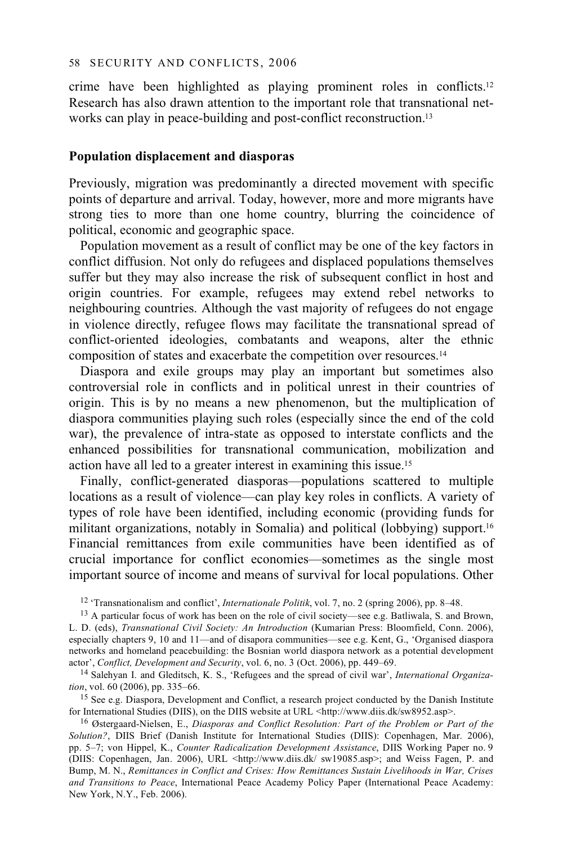crime have been highlighted as playing prominent roles in conflicts.12 Research has also drawn attention to the important role that transnational networks can play in peace-building and post-conflict reconstruction.<sup>13</sup>

### **Population displacement and diasporas**

Previously, migration was predominantly a directed movement with specific points of departure and arrival. Today, however, more and more migrants have strong ties to more than one home country, blurring the coincidence of political, economic and geographic space.

Population movement as a result of conflict may be one of the key factors in conflict diffusion. Not only do refugees and displaced populations themselves suffer but they may also increase the risk of subsequent conflict in host and origin countries. For example, refugees may extend rebel networks to neighbouring countries. Although the vast majority of refugees do not engage in violence directly, refugee flows may facilitate the transnational spread of conflict-oriented ideologies, combatants and weapons, alter the ethnic composition of states and exacerbate the competition over resources.14

Diaspora and exile groups may play an important but sometimes also controversial role in conflicts and in political unrest in their countries of origin. This is by no means a new phenomenon, but the multiplication of diaspora communities playing such roles (especially since the end of the cold war), the prevalence of intra-state as opposed to interstate conflicts and the enhanced possibilities for transnational communication, mobilization and action have all led to a greater interest in examining this issue.15

Finally, conflict-generated diasporas—populations scattered to multiple locations as a result of violence—can play key roles in conflicts. A variety of types of role have been identified, including economic (providing funds for militant organizations, notably in Somalia) and political (lobbying) support.16 Financial remittances from exile communities have been identified as of crucial importance for conflict economies—sometimes as the single most important source of income and means of survival for local populations. Other

<sup>15</sup> See e.g. Diaspora, Development and Conflict, a research project conducted by the Danish Institute for International Studies (DIIS), on the DIIS website at URL <http://www.diis.dk/sw8952.asp>. <sup>16</sup> Østergaard-Nielsen, E., *Diasporas and Conflict Resolution: Part of the Problem or Part of the* 

<sup>&</sup>lt;sup>12</sup> 'Transnationalism and conflict', *Internationale Politik*, vol. 7, no. 2 (spring 2006), pp. 8–48. <sup>13</sup> A particular focus of work has been on the role of civil society—see e.g. Batliwala, S. and Brown,

L. D. (eds), *Transnational Civil Society: An Introduction* (Kumarian Press: Bloomfield, Conn. 2006), especially chapters 9, 10 and 11—and of disapora communities—see e.g. Kent, G., 'Organised diaspora networks and homeland peacebuilding: the Bosnian world diaspora network as a potential development actor', Conflict, Development and Security, vol. 6, no. 3 (Oct. 2006), pp. 449–69.

<sup>&</sup>lt;sup>14</sup> Salehyan I. and Gleditsch, K. S., 'Refugees and the spread of civil war', *International Organization*, vol. 60 (2006), pp. 335–66.

*Solution?*, DIIS Brief (Danish Institute for International Studies (DIIS): Copenhagen, Mar. 2006), pp. 5–7; von Hippel, K., *Counter Radicalization Development Assistance*, DIIS Working Paper no. 9 (DIIS: Copenhagen, Jan. 2006), URL <http://www.diis.dk/ sw19085.asp>; and Weiss Fagen, P. and Bump, M. N., *Remittances in Conflict and Crises: How Remittances Sustain Livelihoods in War, Crises and Transitions to Peace*, International Peace Academy Policy Paper (International Peace Academy: New York, N.Y., Feb. 2006).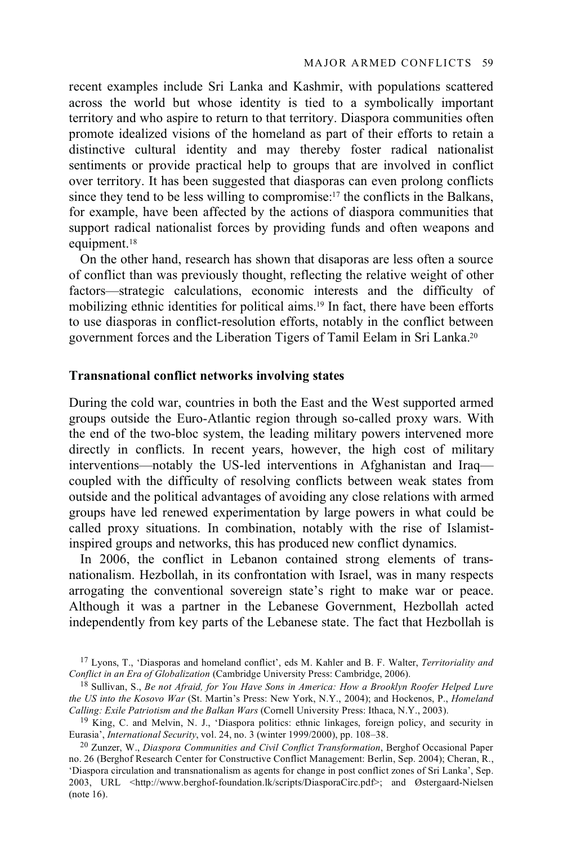recent examples include Sri Lanka and Kashmir, with populations scattered across the world but whose identity is tied to a symbolically important territory and who aspire to return to that territory. Diaspora communities often promote idealized visions of the homeland as part of their efforts to retain a distinctive cultural identity and may thereby foster radical nationalist sentiments or provide practical help to groups that are involved in conflict over territory. It has been suggested that diasporas can even prolong conflicts since they tend to be less willing to compromise:17 the conflicts in the Balkans, for example, have been affected by the actions of diaspora communities that support radical nationalist forces by providing funds and often weapons and equipment.18

On the other hand, research has shown that disaporas are less often a source of conflict than was previously thought, reflecting the relative weight of other factors—strategic calculations, economic interests and the difficulty of mobilizing ethnic identities for political aims.19 In fact, there have been efforts to use diasporas in conflict-resolution efforts, notably in the conflict between government forces and the Liberation Tigers of Tamil Eelam in Sri Lanka.20

### **Transnational conflict networks involving states**

During the cold war, countries in both the East and the West supported armed groups outside the Euro-Atlantic region through so-called proxy wars. With the end of the two-bloc system, the leading military powers intervened more directly in conflicts. In recent years, however, the high cost of military interventions—notably the US-led interventions in Afghanistan and Iraq coupled with the difficulty of resolving conflicts between weak states from outside and the political advantages of avoiding any close relations with armed groups have led renewed experimentation by large powers in what could be called proxy situations. In combination, notably with the rise of Islamistinspired groups and networks, this has produced new conflict dynamics.

In 2006, the conflict in Lebanon contained strong elements of transnationalism. Hezbollah, in its confrontation with Israel, was in many respects arrogating the conventional sovereign state's right to make war or peace. Although it was a partner in the Lebanese Government, Hezbollah acted independently from key parts of the Lebanese state. The fact that Hezbollah is

<sup>&</sup>lt;sup>17</sup> Lyons, T., 'Diasporas and homeland conflict', eds M. Kahler and B. F. Walter, *Territoriality and* Conflict in an Era of Globalization (Cambridge University Press: Cambridge, 2006).

<sup>&</sup>lt;sup>18</sup> Sullivan, S., *Be not Afraid, for You Have Sons in America: How a Brooklyn Roofer Helped Lure the US into the Kosovo War* (St. Martin's Press: New York, N.Y., 2004); and Hockenos, P., *Homeland* 

<sup>&</sup>lt;sup>19</sup> King, C. and Melvin, N. J., 'Diaspora politics: ethnic linkages, foreign policy, and security in Eurasia', *International Security*, vol. 24, no. 3 (winter 1999/2000), pp. 108–38.

<sup>&</sup>lt;sup>20</sup> Zunzer, W., *Diaspora Communities and Civil Conflict Transformation*, Berghof Occasional Paper no. 26 (Berghof Research Center for Constructive Conflict Management: Berlin, Sep. 2004); Cheran, R., 'Diaspora circulation and transnationalism as agents for change in post conflict zones of Sri Lanka', Sep. 2003, URL <http://www.berghof-foundation.lk/scripts/DiasporaCirc.pdf>; and Østergaard-Nielsen (note 16).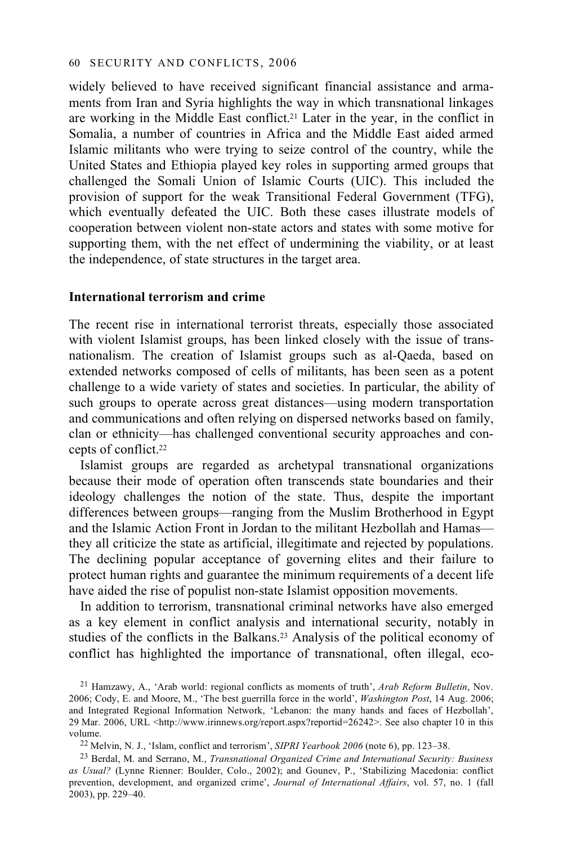widely believed to have received significant financial assistance and armaments from Iran and Syria highlights the way in which transnational linkages are working in the Middle East conflict.21 Later in the year, in the conflict in Somalia, a number of countries in Africa and the Middle East aided armed Islamic militants who were trying to seize control of the country, while the United States and Ethiopia played key roles in supporting armed groups that challenged the Somali Union of Islamic Courts (UIC). This included the provision of support for the weak Transitional Federal Government (TFG), which eventually defeated the UIC. Both these cases illustrate models of cooperation between violent non-state actors and states with some motive for supporting them, with the net effect of undermining the viability, or at least the independence, of state structures in the target area.

#### **International terrorism and crime**

The recent rise in international terrorist threats, especially those associated with violent Islamist groups, has been linked closely with the issue of transnationalism. The creation of Islamist groups such as al-Qaeda, based on extended networks composed of cells of militants, has been seen as a potent challenge to a wide variety of states and societies. In particular, the ability of such groups to operate across great distances—using modern transportation and communications and often relying on dispersed networks based on family, clan or ethnicity—has challenged conventional security approaches and concepts of conflict.22

Islamist groups are regarded as archetypal transnational organizations because their mode of operation often transcends state boundaries and their ideology challenges the notion of the state. Thus, despite the important differences between groups—ranging from the Muslim Brotherhood in Egypt and the Islamic Action Front in Jordan to the militant Hezbollah and Hamas they all criticize the state as artificial, illegitimate and rejected by populations. The declining popular acceptance of governing elites and their failure to protect human rights and guarantee the minimum requirements of a decent life have aided the rise of populist non-state Islamist opposition movements.

In addition to terrorism, transnational criminal networks have also emerged as a key element in conflict analysis and international security, notably in studies of the conflicts in the Balkans.<sup>23</sup> Analysis of the political economy of conflict has highlighted the importance of transnational, often illegal, eco-

<sup>21</sup> Hamzawy, A., 'Arab world: regional conflicts as moments of truth', *Arab Reform Bulletin*, Nov. 2006; Cody, E. and Moore, M., 'The best guerrilla force in the world', *Washington Post*, 14 Aug. 2006; and Integrated Regional Information Network, 'Lebanon: the many hands and faces of Hezbollah', 29 Mar. 2006, URL <http://www.irinnews.org/report.aspx?reportid=26242>. See also chapter 10 in this volume.<br><sup>22</sup> Melvin, N. J., 'Islam, conflict and terrorism', *SIPRI Yearbook 2006* (note 6), pp. 123–38.

<sup>&</sup>lt;sup>23</sup> Berdal, M. and Serrano, M., *Transnational Organized Crime and International Security: Business as Usual?* (Lynne Rienner: Boulder, Colo., 2002); and Gounev, P., 'Stabilizing Macedonia: conflict prevention, development, and organized crime', *Journal of International Affairs*, vol. 57, no. 1 (fall 2003), pp. 229–40.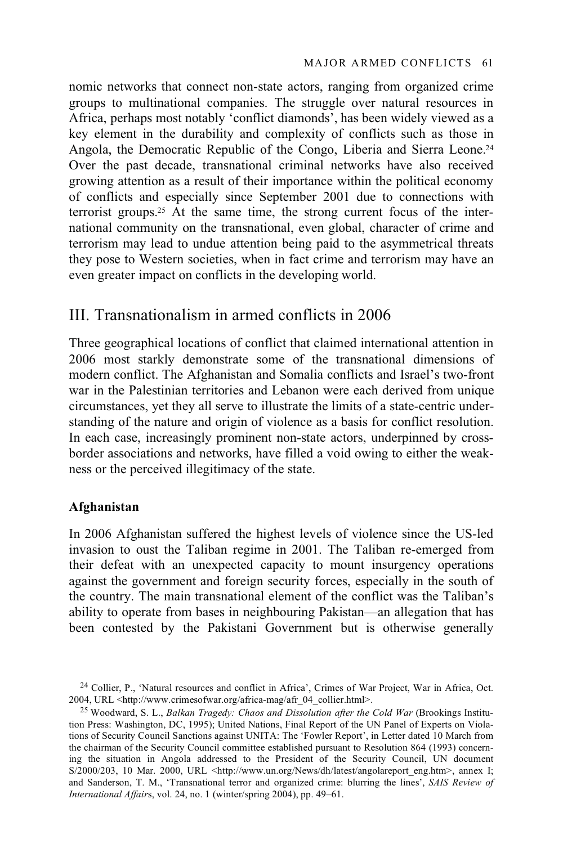nomic networks that connect non-state actors, ranging from organized crime groups to multinational companies. The struggle over natural resources in Africa, perhaps most notably 'conflict diamonds', has been widely viewed as a key element in the durability and complexity of conflicts such as those in Angola, the Democratic Republic of the Congo, Liberia and Sierra Leone.<sup>24</sup> Over the past decade, transnational criminal networks have also received growing attention as a result of their importance within the political economy of conflicts and especially since September 2001 due to connections with terrorist groups.25 At the same time, the strong current focus of the international community on the transnational, even global, character of crime and terrorism may lead to undue attention being paid to the asymmetrical threats they pose to Western societies, when in fact crime and terrorism may have an even greater impact on conflicts in the developing world.

# III. Transnationalism in armed conflicts in 2006

Three geographical locations of conflict that claimed international attention in 2006 most starkly demonstrate some of the transnational dimensions of modern conflict. The Afghanistan and Somalia conflicts and Israel's two-front war in the Palestinian territories and Lebanon were each derived from unique circumstances, yet they all serve to illustrate the limits of a state-centric understanding of the nature and origin of violence as a basis for conflict resolution. In each case, increasingly prominent non-state actors, underpinned by crossborder associations and networks, have filled a void owing to either the weakness or the perceived illegitimacy of the state.

### **Afghanistan**

In 2006 Afghanistan suffered the highest levels of violence since the US-led invasion to oust the Taliban regime in 2001. The Taliban re-emerged from their defeat with an unexpected capacity to mount insurgency operations against the government and foreign security forces, especially in the south of the country. The main transnational element of the conflict was the Taliban's ability to operate from bases in neighbouring Pakistan—an allegation that has been contested by the Pakistani Government but is otherwise generally

<sup>24</sup> Collier, P., 'Natural resources and conflict in Africa', Crimes of War Project, War in Africa, Oct. 2004, URL <http://www.crimesofwar.org/africa-mag/afr\_04\_collier.html>.

<sup>25</sup> Woodward, S. L., *Balkan Tragedy: Chaos and Dissolution after the Cold War* (Brookings Institution Press: Washington, DC, 1995); United Nations, Final Report of the UN Panel of Experts on Violations of Security Council Sanctions against UNITA: The 'Fowler Report', in Letter dated 10 March from the chairman of the Security Council committee established pursuant to Resolution 864 (1993) concerning the situation in Angola addressed to the President of the Security Council, UN document S/2000/203, 10 Mar. 2000, URL <http://www.un.org/News/dh/latest/angolareport\_eng.htm>, annex I; and Sanderson, T. M., 'Transnational terror and organized crime: blurring the lines', *SAIS Review of International Affair*s, vol. 24, no. 1 (winter/spring 2004), pp. 49–61.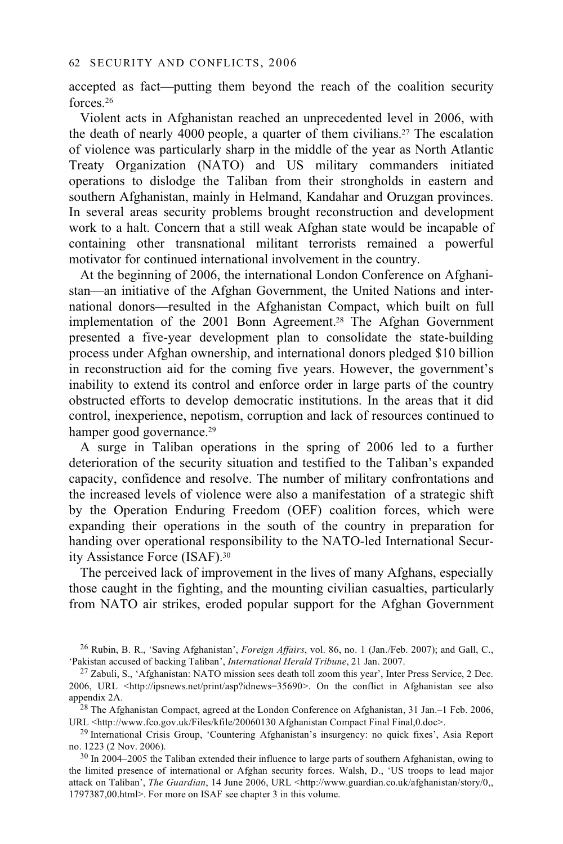accepted as fact—putting them beyond the reach of the coalition security forces.26

Violent acts in Afghanistan reached an unprecedented level in 2006, with the death of nearly 4000 people, a quarter of them civilians.27 The escalation of violence was particularly sharp in the middle of the year as North Atlantic Treaty Organization (NATO) and US military commanders initiated operations to dislodge the Taliban from their strongholds in eastern and southern Afghanistan, mainly in Helmand, Kandahar and Oruzgan provinces. In several areas security problems brought reconstruction and development work to a halt. Concern that a still weak Afghan state would be incapable of containing other transnational militant terrorists remained a powerful motivator for continued international involvement in the country.

At the beginning of 2006, the international London Conference on Afghanistan—an initiative of the Afghan Government, the United Nations and international donors—resulted in the Afghanistan Compact, which built on full implementation of the 2001 Bonn Agreement.28 The Afghan Government presented a five-year development plan to consolidate the state-building process under Afghan ownership, and international donors pledged \$10 billion in reconstruction aid for the coming five years. However, the government's inability to extend its control and enforce order in large parts of the country obstructed efforts to develop democratic institutions. In the areas that it did control, inexperience, nepotism, corruption and lack of resources continued to hamper good governance.<sup>29</sup>

A surge in Taliban operations in the spring of 2006 led to a further deterioration of the security situation and testified to the Taliban's expanded capacity, confidence and resolve. The number of military confrontations and the increased levels of violence were also a manifestation of a strategic shift by the Operation Enduring Freedom (OEF) coalition forces, which were expanding their operations in the south of the country in preparation for handing over operational responsibility to the NATO-led International Security Assistance Force (ISAF).30

The perceived lack of improvement in the lives of many Afghans, especially those caught in the fighting, and the mounting civilian casualties, particularly from NATO air strikes, eroded popular support for the Afghan Government

URL <http://www.fco.gov.uk/Files/kfile/20060130 Afghanistan Compact Final Final,0.doc>.<br><sup>29</sup> International Crisis Group, 'Countering Afghanistan's insurgency: no quick fixes', Asia Report

no. 1223 (2 Nov. 2006).

<sup>&</sup>lt;sup>26</sup> Rubin, B. R., 'Saving Afghanistan', *Foreign Affairs*, vol. 86, no. 1 (Jan./Feb. 2007); and Gall, C., 'Pakistan accused of backing Taliban', *International Herald Tribune*, 21 Jan. 2007.

<sup>&</sup>lt;sup>27</sup> Zabuli, S., 'Afghanistan: NATO mission sees death toll zoom this year', Inter Press Service, 2 Dec. 2006, URL <http://ipsnews.net/print/asp?idnews=35690>. On the conflict in Afghanistan see also appendix 2A.<br><sup>28</sup> The Afghanistan Compact, agreed at the London Conference on Afghanistan, 31 Jan.–1 Feb. 2006,

<sup>&</sup>lt;sup>30</sup> In 2004–2005 the Taliban extended their influence to large parts of southern Afghanistan, owing to the limited presence of international or Afghan security forces. Walsh, D., 'US troops to lead major attack on Taliban', *The Guardian*, 14 June 2006, URL <http://www.guardian.co.uk/afghanistan/story/0,, 1797387,00.html>. For more on ISAF see chapter 3 in this volume.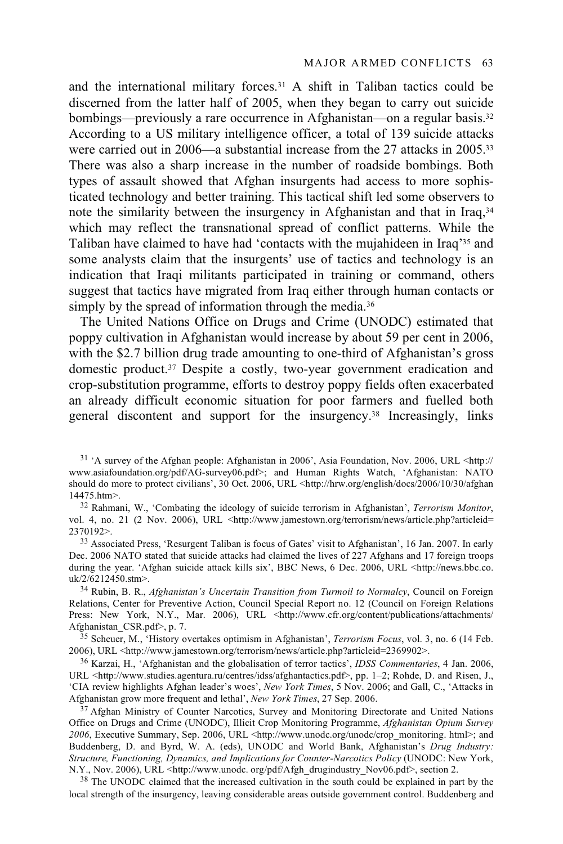and the international military forces.<sup>31</sup> A shift in Taliban tactics could be discerned from the latter half of 2005, when they began to carry out suicide bombings—previously a rare occurrence in Afghanistan—on a regular basis.<sup>32</sup> According to a US military intelligence officer, a total of 139 suicide attacks were carried out in 2006—a substantial increase from the 27 attacks in 2005.<sup>33</sup> There was also a sharp increase in the number of roadside bombings. Both types of assault showed that Afghan insurgents had access to more sophisticated technology and better training. This tactical shift led some observers to note the similarity between the insurgency in Afghanistan and that in Iraq,34 which may reflect the transnational spread of conflict patterns. While the Taliban have claimed to have had 'contacts with the mujahideen in Iraq'35 and some analysts claim that the insurgents' use of tactics and technology is an indication that Iraqi militants participated in training or command, others suggest that tactics have migrated from Iraq either through human contacts or simply by the spread of information through the media.<sup>36</sup>

The United Nations Office on Drugs and Crime (UNODC) estimated that poppy cultivation in Afghanistan would increase by about 59 per cent in 2006, with the \$2.7 billion drug trade amounting to one-third of Afghanistan's gross domestic product.37 Despite a costly, two-year government eradication and crop-substitution programme, efforts to destroy poppy fields often exacerbated an already difficult economic situation for poor farmers and fuelled both general discontent and support for the insurgency.38 Increasingly, links

vol. 4, no. 21 (2 Nov. 2006), URL <http://www.jamestown.org/terrorism/news/article.php?articleid= 2370192>. 33 Associated Press, 'Resurgent Taliban is focus of Gates' visit to Afghanistan', 16 Jan. 2007. In early

Dec. 2006 NATO stated that suicide attacks had claimed the lives of 227 Afghans and 17 foreign troops during the year. 'Afghan suicide attack kills six', BBC News, 6 Dec. 2006, URL <http://news.bbc.co. uk/2/6212450.stm>. 34 Rubin, B. R., *Afghanistan's Uncertain Transition from Turmoil to Normalcy*, Council on Foreign

Relations, Center for Preventive Action, Council Special Report no. 12 (Council on Foreign Relations Press: New York, N.Y., Mar. 2006), URL <http://www.cfr.org/content/publications/attachments/<br>Afghanistan CSR.pdf>, p. 7.

<sup>35</sup> Scheuer, M., 'History overtakes optimism in Afghanistan', *Terrorism Focus*, vol. 3, no. 6 (14 Feb. 2006), URL <http://www.jamestown.org/terrorism/news/article.php?articleid=2369902>.

<sup>36</sup> Karzai, H., 'Afghanistan and the globalisation of terror tactics', *IDSS Commentaries*, 4 Jan. 2006, URL <http://www.studies.agentura.ru/centres/idss/afghantactics.pdf>, pp. 1–2; Rohde, D. and Risen, J., 'CIA review highlights Afghan leader's woes', *New York Times*, 5 Nov. 2006; and Gall, C., 'Attacks in Afghanistan grow more frequent and lethal', *New York Times*, 27 Sep. 2006.

<sup>37</sup> Afghan Ministry of Counter Narcotics, Survey and Monitoring Directorate and United Nations Office on Drugs and Crime (UNODC), Illicit Crop Monitoring Programme, *Afghanistan Opium Survey 2006*, Executive Summary, Sep. 2006, URL <http://www.unodc.org/unodc/crop\_monitoring. html>; and Buddenberg, D. and Byrd, W. A. (eds), UNODC and World Bank, Afghanistan's *Drug Industry: Structure, Functioning, Dynamics, and Implications for Counter-Narcotics Policy* (UNODC: New York,

<sup>38</sup> The UNODC claimed that the increased cultivation in the south could be explained in part by the local strength of the insurgency, leaving considerable areas outside government control. Buddenberg and

 $31$  'A survey of the Afghan people: Afghanistan in 2006', Asia Foundation, Nov. 2006, URL <http:// www.asiafoundation.org/pdf/AG-survey06.pdf>; and Human Rights Watch, 'Afghanistan: NATO should do more to protect civilians', 30 Oct. 2006, URL <http://hrw.org/english/docs/2006/10/30/afghan 14475.htm>.<br><sup>32</sup> Rahmani, W., 'Combating the ideology of suicide terrorism in Afghanistan', *Terrorism Monitor*,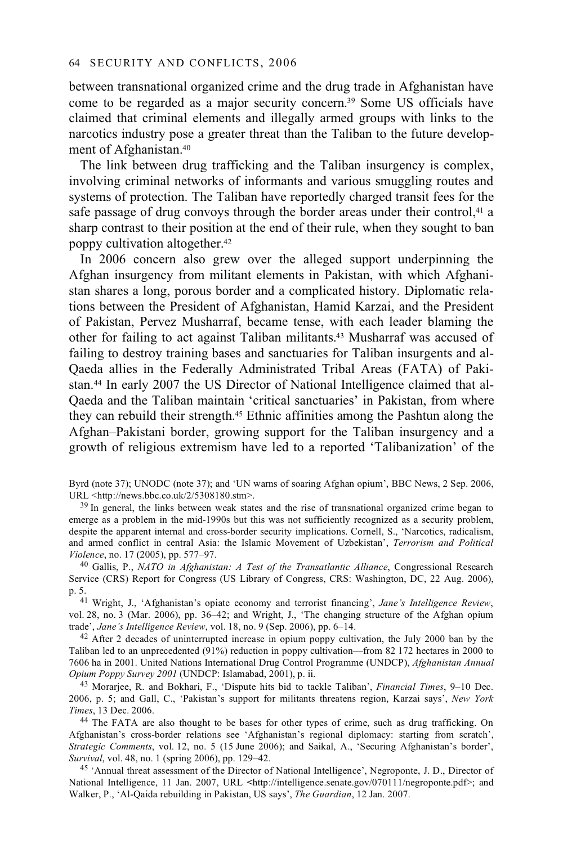between transnational organized crime and the drug trade in Afghanistan have come to be regarded as a major security concern.39 Some US officials have claimed that criminal elements and illegally armed groups with links to the narcotics industry pose a greater threat than the Taliban to the future development of Afghanistan.40

The link between drug trafficking and the Taliban insurgency is complex, involving criminal networks of informants and various smuggling routes and systems of protection. The Taliban have reportedly charged transit fees for the safe passage of drug convoys through the border areas under their control,<sup>41</sup> a sharp contrast to their position at the end of their rule, when they sought to ban poppy cultivation altogether.42

In 2006 concern also grew over the alleged support underpinning the Afghan insurgency from militant elements in Pakistan, with which Afghanistan shares a long, porous border and a complicated history. Diplomatic relations between the President of Afghanistan, Hamid Karzai, and the President of Pakistan, Pervez Musharraf, became tense, with each leader blaming the other for failing to act against Taliban militants.43 Musharraf was accused of failing to destroy training bases and sanctuaries for Taliban insurgents and al-Qaeda allies in the Federally Administrated Tribal Areas (FATA) of Pakistan.44 In early 2007 the US Director of National Intelligence claimed that al-Qaeda and the Taliban maintain 'critical sanctuaries' in Pakistan, from where they can rebuild their strength.45 Ethnic affinities among the Pashtun along the Afghan–Pakistani border, growing support for the Taliban insurgency and a growth of religious extremism have led to a reported 'Talibanization' of the

Byrd (note 37); UNODC (note 37); and 'UN warns of soaring Afghan opium', BBC News, 2 Sep. 2006, URL <http://news.bbc.co.uk/2/5308180.stm>.

 $39$  In general, the links between weak states and the rise of transnational organized crime began to emerge as a problem in the mid-1990s but this was not sufficiently recognized as a security problem, despite the apparent internal and cross-border security implications. Cornell, S., 'Narcotics, radicalism, and armed conflict in central Asia: the Islamic Movement of Uzbekistan', *Terrorism and Political Violence*, no. 17 (2005), pp. 577–97. 40 Gallis, P., *NATO in Afghanistan: A Test of the Transatlantic Alliance*, Congressional Research

Service (CRS) Report for Congress (US Library of Congress, CRS: Washington, DC, 22 Aug. 2006), p. 5. 41 Wright, J., 'Afghanistan's opiate economy and terrorist financing', *Jane's Intelligence Review*,

vol. 28, no. 3 (Mar. 2006), pp.  $36-42$ ; and Wright, J., 'The changing structure of the Afghan opium trade', Jane's Intelligence Review, vol. 18, no. 9 (Sep. 2006), pp. 6–14.

<sup>42</sup> After 2 decades of uninterrupted increase in opium poppy cultivation, the July 2000 ban by the Taliban led to an unprecedented (91%) reduction in poppy cultivation—from 82 172 hectares in 2000 to 7606 ha in 2001. United Nations International Drug Control Programme (UNDCP), *Afghanistan Annual Opium Poppy Survey 2001* (UNDCP: Islamabad, 2001), p. ii.

43 Morarjee, R. and Bokhari, F., 'Dispute hits bid to tackle Taliban', *Financial Times*, 9–10 Dec. 2006, p. 5; and Gall, C., 'Pakistan's support for militants threatens region, Karzai says', *New York* 

<sup>44</sup> The FATA are also thought to be bases for other types of crime, such as drug trafficking. On Afghanistan's cross-border relations see 'Afghanistan's regional diplomacy: starting from scratch', *Strategic Comments*, vol. 12, no. 5 (15 June 2006); and Saikal, A., 'Securing Afghanistan's border',

<sup>45</sup> 'Annual threat assessment of the Director of National Intelligence', Negroponte, J. D., Director of National Intelligence, 11 Jan. 2007, URL **<**http://intelligence.senate.gov/070111/negroponte.pdf>; and Walker, P., 'Al-Qaida rebuilding in Pakistan, US says', *The Guardian*, 12 Jan. 2007.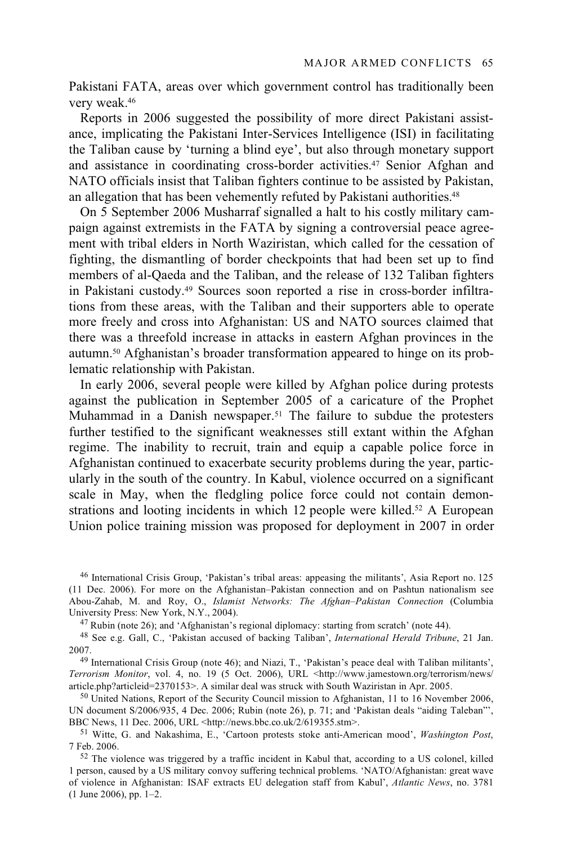Pakistani FATA, areas over which government control has traditionally been very weak.46

Reports in 2006 suggested the possibility of more direct Pakistani assistance, implicating the Pakistani Inter-Services Intelligence (ISI) in facilitating the Taliban cause by 'turning a blind eye', but also through monetary support and assistance in coordinating cross-border activities.47 Senior Afghan and NATO officials insist that Taliban fighters continue to be assisted by Pakistan, an allegation that has been vehemently refuted by Pakistani authorities.<sup>48</sup>

On 5 September 2006 Musharraf signalled a halt to his costly military campaign against extremists in the FATA by signing a controversial peace agreement with tribal elders in North Waziristan, which called for the cessation of fighting, the dismantling of border checkpoints that had been set up to find members of al-Qaeda and the Taliban, and the release of 132 Taliban fighters in Pakistani custody.49 Sources soon reported a rise in cross-border infiltrations from these areas, with the Taliban and their supporters able to operate more freely and cross into Afghanistan: US and NATO sources claimed that there was a threefold increase in attacks in eastern Afghan provinces in the autumn.50 Afghanistan's broader transformation appeared to hinge on its problematic relationship with Pakistan.

In early 2006, several people were killed by Afghan police during protests against the publication in September 2005 of a caricature of the Prophet Muhammad in a Danish newspaper.<sup>51</sup> The failure to subdue the protesters further testified to the significant weaknesses still extant within the Afghan regime. The inability to recruit, train and equip a capable police force in Afghanistan continued to exacerbate security problems during the year, particularly in the south of the country. In Kabul, violence occurred on a significant scale in May, when the fledgling police force could not contain demonstrations and looting incidents in which 12 people were killed.<sup>52</sup> A European Union police training mission was proposed for deployment in 2007 in order

46 International Crisis Group, 'Pakistan's tribal areas: appeasing the militants', Asia Report no. 125 (11 Dec. 2006). For more on the Afghanistan–Pakistan connection and on Pashtun nationalism see Abou-Zahab, M. and Roy, O., *Islamist Networks: The Afghan–Pakistan Connection* (Columbia

 $^{47}$  Rubin (note 26); and 'Afghanistan's regional diplomacy: starting from scratch' (note 44).

48 See e.g. Gall, C., 'Pakistan accused of backing Taliban', *International Herald Tribune*, 21 Jan. 2007. 49 International Crisis Group (note 46); and Niazi, T., 'Pakistan's peace deal with Taliban militants',

*Terrorism Monitor*, vol. 4, no. 19 (5 Oct. 2006), URL <http://www.jamestown.org/terrorism/news/<br>article.php?articleid=2370153>. A similar deal was struck with South Waziristan in Apr. 2005.

 $50$  United Nations, Report of the Security Council mission to Afghanistan, 11 to 16 November 2006, UN document S/2006/935, 4 Dec. 2006; Rubin (note 26), p. 71; and 'Pakistan deals "aiding Taleban"', BBC News, 11 Dec. 2006, URL <http://news.bbc.co.uk/2/619355.stm>.

<sup>51</sup> Witte, G. and Nakashima, E., 'Cartoon protests stoke anti-American mood', *Washington Post*, 7 Feb. 2006.<br><sup>52</sup> The violence was triggered by a traffic incident in Kabul that, according to a US colonel, killed

1 person, caused by a US military convoy suffering technical problems. 'NATO/Afghanistan: great wave of violence in Afghanistan: ISAF extracts EU delegation staff from Kabul', *Atlantic News*, no. 3781 (1 June 2006), pp. 1–2.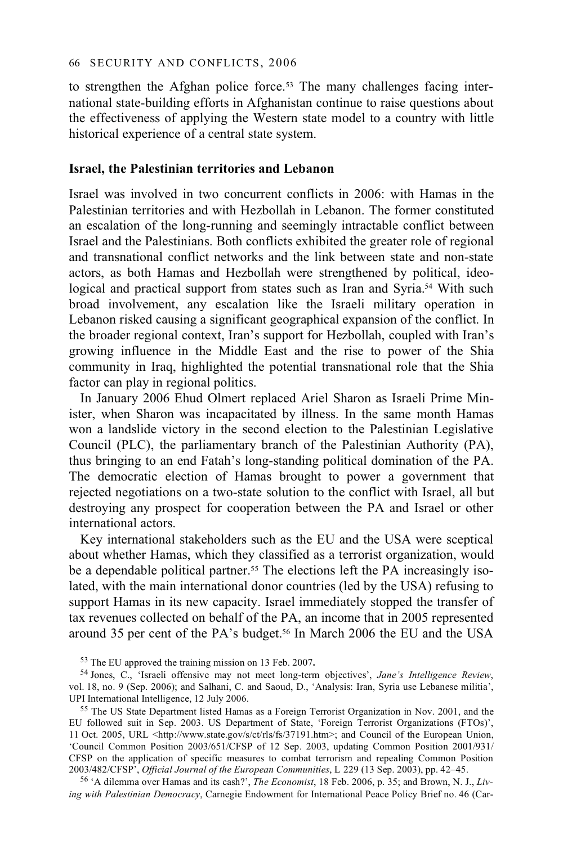to strengthen the Afghan police force.<sup>53</sup> The many challenges facing international state-building efforts in Afghanistan continue to raise questions about the effectiveness of applying the Western state model to a country with little historical experience of a central state system.

### **Israel, the Palestinian territories and Lebanon**

Israel was involved in two concurrent conflicts in 2006: with Hamas in the Palestinian territories and with Hezbollah in Lebanon. The former constituted an escalation of the long-running and seemingly intractable conflict between Israel and the Palestinians. Both conflicts exhibited the greater role of regional and transnational conflict networks and the link between state and non-state actors, as both Hamas and Hezbollah were strengthened by political, ideological and practical support from states such as Iran and Syria.<sup>54</sup> With such broad involvement, any escalation like the Israeli military operation in Lebanon risked causing a significant geographical expansion of the conflict. In the broader regional context, Iran's support for Hezbollah, coupled with Iran's growing influence in the Middle East and the rise to power of the Shia community in Iraq, highlighted the potential transnational role that the Shia factor can play in regional politics.

In January 2006 Ehud Olmert replaced Ariel Sharon as Israeli Prime Minister, when Sharon was incapacitated by illness. In the same month Hamas won a landslide victory in the second election to the Palestinian Legislative Council (PLC), the parliamentary branch of the Palestinian Authority (PA), thus bringing to an end Fatah's long-standing political domination of the PA. The democratic election of Hamas brought to power a government that rejected negotiations on a two-state solution to the conflict with Israel, all but destroying any prospect for cooperation between the PA and Israel or other international actors.

Key international stakeholders such as the EU and the USA were sceptical about whether Hamas, which they classified as a terrorist organization, would be a dependable political partner.<sup>55</sup> The elections left the PA increasingly isolated, with the main international donor countries (led by the USA) refusing to support Hamas in its new capacity. Israel immediately stopped the transfer of tax revenues collected on behalf of the PA, an income that in 2005 represented around 35 per cent of the PA's budget.<sup>56</sup> In March 2006 the EU and the USA

53 The EU approved the training mission on 13 Feb. 2007**.** 

54 Jones, C., 'Israeli offensive may not meet long-term objectives', *Jane's Intelligence Review*, vol. 18, no. 9 (Sep. 2006); and Salhani, C. and Saoud, D., 'Analysis: Iran, Syria use Lebanese militia',

<sup>55</sup> The US State Department listed Hamas as a Foreign Terrorist Organization in Nov. 2001, and the EU followed suit in Sep. 2003. US Department of State, 'Foreign Terrorist Organizations (FTOs)', 11 Oct. 2005, URL <http://www.state.gov/s/ct/rls/fs/37191.htm>; and Council of the European Union, 'Council Common Position 2003/651/CFSP of 12 Sep. 2003, updating Common Position 2001/931/ CFSP on the application of specific measures to combat terrorism and repealing Common Position 2003/482/CFSP', Official Journal of the European Communities, L 229 (13 Sep. 2003), pp. 42–45.

<sup>56</sup> 'A dilemma over Hamas and its cash?', *The Economist*, 18 Feb. 2006, p. 35; and Brown, N. J., *Living with Palestinian Democracy*, Carnegie Endowment for International Peace Policy Brief no. 46 (Car-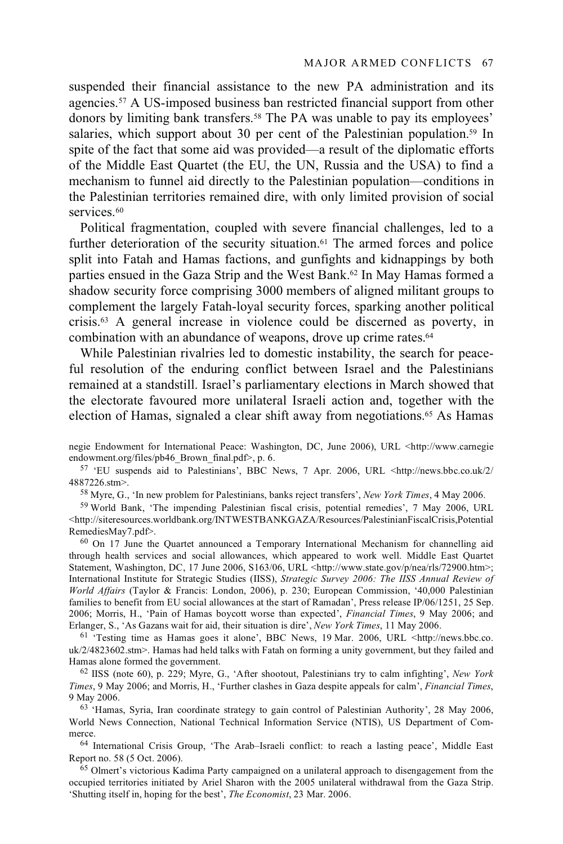suspended their financial assistance to the new PA administration and its agencies.57 A US-imposed business ban restricted financial support from other donors by limiting bank transfers.<sup>58</sup> The PA was unable to pay its employees' salaries, which support about 30 per cent of the Palestinian population.<sup>59</sup> In spite of the fact that some aid was provided—a result of the diplomatic efforts of the Middle East Quartet (the EU, the UN, Russia and the USA) to find a mechanism to funnel aid directly to the Palestinian population—conditions in the Palestinian territories remained dire, with only limited provision of social services.<sup>60</sup>

Political fragmentation, coupled with severe financial challenges, led to a further deterioration of the security situation.<sup>61</sup> The armed forces and police split into Fatah and Hamas factions, and gunfights and kidnappings by both parties ensued in the Gaza Strip and the West Bank.<sup>62</sup> In May Hamas formed a shadow security force comprising 3000 members of aligned militant groups to complement the largely Fatah-loyal security forces, sparking another political crisis.63 A general increase in violence could be discerned as poverty, in combination with an abundance of weapons, drove up crime rates.64

While Palestinian rivalries led to domestic instability, the search for peaceful resolution of the enduring conflict between Israel and the Palestinians remained at a standstill. Israel's parliamentary elections in March showed that the electorate favoured more unilateral Israeli action and, together with the election of Hamas, signaled a clear shift away from negotiations.65 As Hamas

58 Myre, G., 'In new problem for Palestinians, banks reject transfers', *New York Times*, 4 May 2006. 59 World Bank, 'The impending Palestinian fiscal crisis, potential remedies', 7 May 2006, URL

<http://siteresources.worldbank.org/INTWESTBANKGAZA/Resources/PalestinianFiscalCrisis,Potential

RemediesMay7.pdf>.<br><sup>60</sup> On 17 June the Quartet announced a Temporary International Mechanism for channelling aid through health services and social allowances, which appeared to work well. Middle East Quartet Statement, Washington, DC, 17 June 2006, S163/06, URL <http://www.state.gov/p/nea/rls/72900.htm>; International Institute for Strategic Studies (IISS), *Strategic Survey 2006: The IISS Annual Review of World Affairs* (Taylor & Francis: London, 2006), p. 230; European Commission, '40,000 Palestinian families to benefit from EU social allowances at the start of Ramadan', Press release IP/06/1251, 25 Sep. 2006; Morris, H., 'Pain of Hamas boycott worse than expected', *Financial Times*, 9 May 2006; and

<sup>61</sup> 'Testing time as Hamas goes it alone', *BBC* News, 19 Mar. 2006, URL <http://news.bbc.co. uk/2/4823602.stm>. Hamas had held talks with Fatah on forming a unity government, but they failed and Hamas alone formed the government.<br><sup>62</sup> IISS (note 60), p. 229; Myre, G., 'After shootout, Palestinians try to calm infighting', *New York* 

*Times*, 9 May 2006; and Morris, H., 'Further clashes in Gaza despite appeals for calm', *Financial Times*, 9 May 2006. 63 'Hamas, Syria, Iran coordinate strategy to gain control of Palestinian Authority', 28 May 2006,

World News Connection, National Technical Information Service (NTIS), US Department of Com-

merce. 64 International Crisis Group, 'The Arab–Israeli conflict: to reach a lasting peace', Middle East<br>Report no. 58 (5 Oct. 2006).

<sup>65</sup> Olmert's victorious Kadima Party campaigned on a unilateral approach to disengagement from the occupied territories initiated by Ariel Sharon with the 2005 unilateral withdrawal from the Gaza Strip. 'Shutting itself in, hoping for the best', *The Economist*, 23 Mar. 2006.

negie Endowment for International Peace: Washington, DC, June 2006), URL <http://www.carnegie endowment.org/files/pb46\_Brown\_final.pdf>, p. 6. 57 \times and to Palestinians', BBC News, 7 Apr. 2006, URL <http://news.bbc.co.uk/2/

<sup>4887226.</sup>stm>.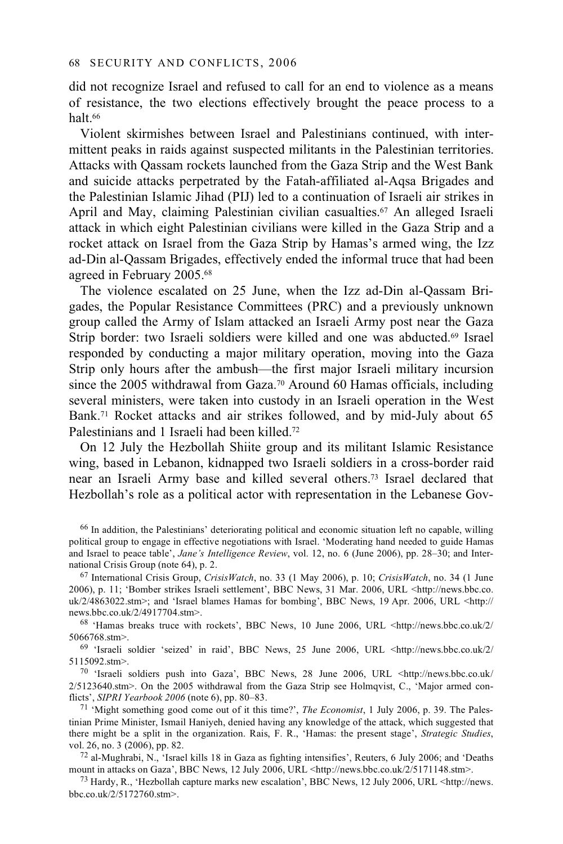did not recognize Israel and refused to call for an end to violence as a means of resistance, the two elections effectively brought the peace process to a halt.66

Violent skirmishes between Israel and Palestinians continued, with intermittent peaks in raids against suspected militants in the Palestinian territories. Attacks with Qassam rockets launched from the Gaza Strip and the West Bank and suicide attacks perpetrated by the Fatah-affiliated al-Aqsa Brigades and the Palestinian Islamic Jihad (PIJ) led to a continuation of Israeli air strikes in April and May, claiming Palestinian civilian casualties.<sup>67</sup> An alleged Israeli attack in which eight Palestinian civilians were killed in the Gaza Strip and a rocket attack on Israel from the Gaza Strip by Hamas's armed wing, the Izz ad-Din al-Qassam Brigades, effectively ended the informal truce that had been agreed in February 2005.68

The violence escalated on 25 June, when the Izz ad-Din al-Qassam Brigades, the Popular Resistance Committees (PRC) and a previously unknown group called the Army of Islam attacked an Israeli Army post near the Gaza Strip border: two Israeli soldiers were killed and one was abducted.69 Israel responded by conducting a major military operation, moving into the Gaza Strip only hours after the ambush—the first major Israeli military incursion since the 2005 withdrawal from Gaza.<sup>70</sup> Around 60 Hamas officials, including several ministers, were taken into custody in an Israeli operation in the West Bank.71 Rocket attacks and air strikes followed, and by mid-July about 65 Palestinians and 1 Israeli had been killed.72

On 12 July the Hezbollah Shiite group and its militant Islamic Resistance wing, based in Lebanon, kidnapped two Israeli soldiers in a cross-border raid near an Israeli Army base and killed several others.73 Israel declared that Hezbollah's role as a political actor with representation in the Lebanese Gov-

<sup>66</sup> In addition, the Palestinians' deteriorating political and economic situation left no capable, willing political group to engage in effective negotiations with Israel. 'Moderating hand needed to guide Hamas and Israel to peace table', *Jane's Intelligence Review*, vol. 12, no. 6 (June 2006), pp. 28–30; and International Crisis Group (note 64), p. 2.<br><sup>67</sup> International Crisis Group, *CrisisWatch*, no. 33 (1 May 2006), p. 10; *CrisisWatch*, no. 34 (1 June

2006), p. 11; 'Bomber strikes Israeli settlement', BBC News, 31 Mar. 2006, URL <http://news.bbc.co. uk/2/4863022.stm>; and 'Israel blames Hamas for bombing', BBC News, 19 Apr. 2006, URL <http:// news.bbc.co.uk/2/4917704.stm>.<br><sup>68</sup> 'Hamas breaks truce with rockets', BBC News, 10 June 2006, URL <http://news.bbc.co.uk/2/

5066768.stm>. 69 'Israeli soldier 'seized' in raid', BBC News, 25 June 2006, URL <http://news.bbc.co.uk/2/

5115092.stm>.<br>  $70$  'Israeli soldiers push into Gaza', BBC News, 28 June 2006, URL <http://news.bbc.co.uk/

 $2/5123640 \text{ s}$ tm>. On the 2005 withdrawal from the Gaza Strip see Holmqvist, C., 'Major armed con-flicts', SIPRI Yearbook 2006 (note 6), pp. 80–83.

<sup>71</sup> 'Might something good come out of it this time?', *The Economist*, 1 July 2006, p. 39. The Palestinian Prime Minister, Ismail Haniyeh, denied having any knowledge of the attack, which suggested that there might be a split in the organization. Rais, F. R., 'Hamas: the present stage', *Strategic Studies*,

vol. 26, no. 3 (2006), pp. 82.<br><sup>72</sup> al-Mughrabi, N., 'Israel kills 18 in Gaza as fighting intensifies', Reuters, 6 July 2006; and 'Deaths mount in attacks on Gaza', BBC News, 12 July 2006, URL <http://news.bbc.co.uk/2/5171

<sup>73</sup> Hardy, R., 'Hezbollah capture marks new escalation', BBC News, 12 July 2006, URL <http://news. bbc.co.uk/2/5172760.stm>.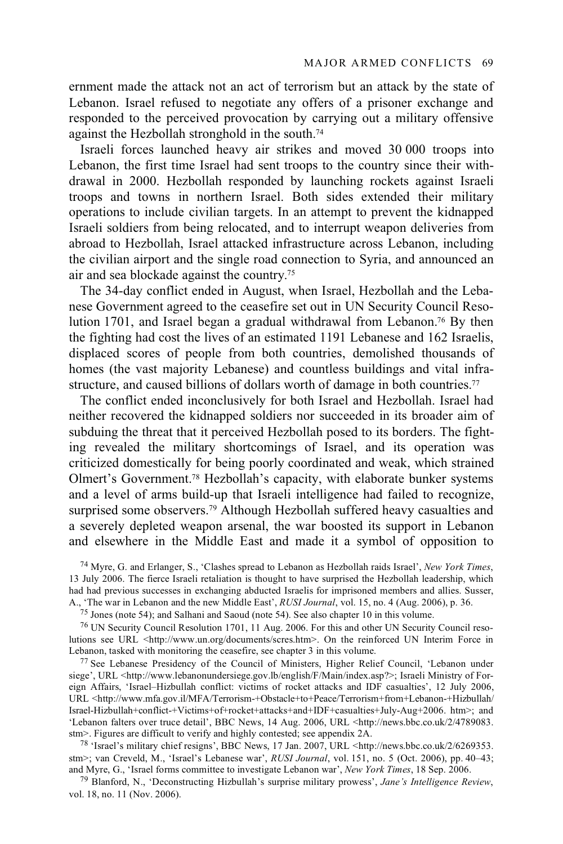ernment made the attack not an act of terrorism but an attack by the state of Lebanon. Israel refused to negotiate any offers of a prisoner exchange and responded to the perceived provocation by carrying out a military offensive against the Hezbollah stronghold in the south.74

Israeli forces launched heavy air strikes and moved 30 000 troops into Lebanon, the first time Israel had sent troops to the country since their withdrawal in 2000. Hezbollah responded by launching rockets against Israeli troops and towns in northern Israel. Both sides extended their military operations to include civilian targets. In an attempt to prevent the kidnapped Israeli soldiers from being relocated, and to interrupt weapon deliveries from abroad to Hezbollah, Israel attacked infrastructure across Lebanon, including the civilian airport and the single road connection to Syria, and announced an air and sea blockade against the country.75

The 34-day conflict ended in August, when Israel, Hezbollah and the Lebanese Government agreed to the ceasefire set out in UN Security Council Resolution 1701, and Israel began a gradual withdrawal from Lebanon.<sup>76</sup> By then the fighting had cost the lives of an estimated 1191 Lebanese and 162 Israelis, displaced scores of people from both countries, demolished thousands of homes (the vast majority Lebanese) and countless buildings and vital infrastructure, and caused billions of dollars worth of damage in both countries.<sup>77</sup>

The conflict ended inconclusively for both Israel and Hezbollah. Israel had neither recovered the kidnapped soldiers nor succeeded in its broader aim of subduing the threat that it perceived Hezbollah posed to its borders. The fighting revealed the military shortcomings of Israel, and its operation was criticized domestically for being poorly coordinated and weak, which strained Olmert's Government.78 Hezbollah's capacity, with elaborate bunker systems and a level of arms build-up that Israeli intelligence had failed to recognize, surprised some observers.<sup>79</sup> Although Hezbollah suffered heavy casualties and a severely depleted weapon arsenal, the war boosted its support in Lebanon and elsewhere in the Middle East and made it a symbol of opposition to

74 Myre, G. and Erlanger, S., 'Clashes spread to Lebanon as Hezbollah raids Israel', *New York Times*, 13 July 2006. The fierce Israeli retaliation is thought to have surprised the Hezbollah leadership, which had had previous successes in exchanging abducted Israelis for imprisoned members and allies. Susser, A., 'The war in Lebanon and the new Middle East', *RUSI Journal*, vol. 15, no. 4 (Aug. 2006), p. 36.

<sup>75</sup> Jones (note 54); and Salhani and Saoud (note 54). See also chapter 10 in this volume.

76 UN Security Council Resolution 1701, 11 Aug. 2006. For this and other UN Security Council resolutions see URL <http://www.un.org/documents/scres.htm>. On the reinforced UN Interim Force in Lebanon, tasked with monitoring the ceasefire, see chapter 3 in this volume.

<sup>77</sup> See Lebanese Presidency of the Council of Ministers, Higher Relief Council, 'Lebanon under siege', URL <http://www.lebanonundersiege.gov.lb/english/F/Main/index.asp?>; Israeli Ministry of Foreign Affairs, 'Israel–Hizbullah conflict: victims of rocket attacks and IDF casualties', 12 July 2006, URL <http://www.mfa.gov.il/MFA/Terrorism-+Obstacle+to+Peace/Terrorism+from+Lebanon-+Hizbullah/ Israel-Hizbullah+conflict-+Victims+of+rocket+attacks+and+IDF+casualties+July-Aug+2006. htm>; and 'Lebanon falters over truce detail', BBC News, 14 Aug. 2006, URL <http://news.bbc.co.uk/2/4789083. stm>. Figures are difficult to verify and highly contested; see appendix 2A.

<sup>78</sup> 'Israel's military chief resigns', BBC News, 17 Jan. 2007, URL  $\lt$ http://news.bbc.co.uk/2/6269353. stm>; van Creveld, M., 'Israel's Lebanese war', *RUSI Journal*, vol. 151, no. 5 (Oct. 2006), pp. 40–43; and Myre, G., 'Israel forms committee to investigate Lebanon war', *New York Times*, 18 Sep. 2006.

<sup>79</sup> Blanford, N., 'Deconstructing Hizbullah's surprise military prowess', *Jane's Intelligence Review*, vol. 18, no. 11 (Nov. 2006).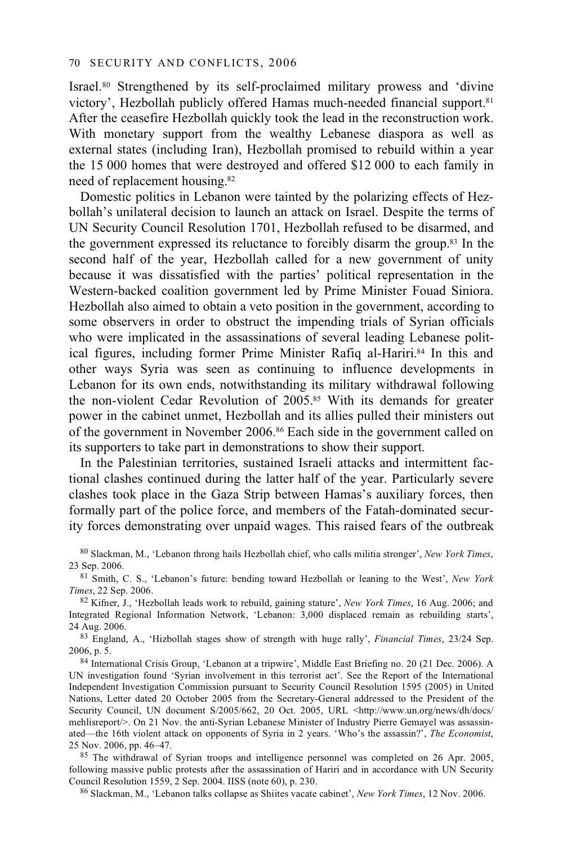Israel.80 Strengthened by its self-proclaimed military prowess and 'divine victory', Hezbollah publicly offered Hamas much-needed financial support.81 After the ceasefire Hezbollah quickly took the lead in the reconstruction work. With monetary support from the wealthy Lebanese diaspora as well as external states (including Iran), Hezbollah promised to rebuild within a year the 15 000 homes that were destroyed and offered \$12 000 to each family in need of replacement housing.82

Domestic politics in Lebanon were tainted by the polarizing effects of Hezbollah's unilateral decision to launch an attack on Israel. Despite the terms of UN Security Council Resolution 1701, Hezbollah refused to be disarmed, and the government expressed its reluctance to forcibly disarm the group.83 In the second half of the year, Hezbollah called for a new government of unity because it was dissatisfied with the parties' political representation in the Western-backed coalition government led by Prime Minister Fouad Siniora. Hezbollah also aimed to obtain a veto position in the government, according to some observers in order to obstruct the impending trials of Syrian officials who were implicated in the assassinations of several leading Lebanese political figures, including former Prime Minister Rafiq al-Hariri.<sup>84</sup> In this and other ways Syria was seen as continuing to influence developments in Lebanon for its own ends, notwithstanding its military withdrawal following the non-violent Cedar Revolution of 2005.85 With its demands for greater power in the cabinet unmet, Hezbollah and its allies pulled their ministers out of the government in November 2006.86 Each side in the government called on its supporters to take part in demonstrations to show their support.

In the Palestinian territories, sustained Israeli attacks and intermittent factional clashes continued during the latter half of the year. Particularly severe clashes took place in the Gaza Strip between Hamas's auxiliary forces, then formally part of the police force, and members of the Fatah-dominated security forces demonstrating over unpaid wages. This raised fears of the outbreak

80 Slackman, M., 'Lebanon throng hails Hezbollah chief, who calls militia stronger', *New York Times*,

23 Sep. 2006.<br><sup>81</sup> Smith, C. S., 'Lebanon's future: bending toward Hezbollah or leaning to the West', *New York Times*, 22 Sep. 2006.

*Times*, 22 Sep. 2006. 82 Kifner, J., 'Hezbollah leads work to rebuild, gaining stature', *New York Times*, 16 Aug. 2006; and Integrated Regional Information Network, 'Lebanon: 3,000 displaced remain as rebuilding starts',

<sup>83</sup> England, A., 'Hizbollah stages show of strength with huge rally', *Financial Times*, 23/24 Sep. 2006, p. 5.<br><sup>84</sup> International Crisis Group, 'Lebanon at a tripwire', Middle East Briefing no. 20 (21 Dec. 2006). A

UN investigation found 'Syrian involvement in this terrorist act'. See the Report of the International Independent Investigation Commission pursuant to Security Council Resolution 1595 (2005) in United Nations, Letter dated 20 October 2005 from the Secretary-General addressed to the President of the Security Council, UN document S/2005/662, 20 Oct. 2005, URL <http://www.un.org/news/dh/docs/ mehlisreport/>. On 21 Nov. the anti-Syrian Lebanese Minister of Industry Pierre Gemayel was assassinated—the 16th violent attack on opponents of Syria in 2 years. 'Who's the assassin?', *The Economist*, 25 Nov. 2006, pp. 46–47. 85 The withdrawal of Syrian troops and intelligence personnel was completed on 26 Apr. 2005,

following massive public protests after the assassination of Hariri and in accordance with UN Security Council Resolution 1559, 2 Sep. 2004. IISS (note 60), p. 230. 86 Slackman, M., 'Lebanon talks collapse as Shiites vacate cabinet', *New York Times*, 12 Nov. 2006.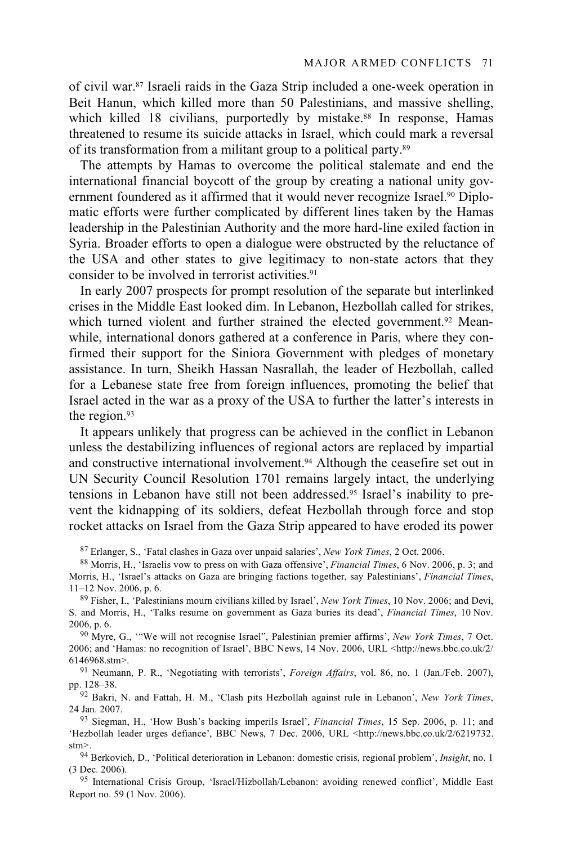of civil war.87 Israeli raids in the Gaza Strip included a one-week operation in Beit Hanun, which killed more than 50 Palestinians, and massive shelling, which killed 18 civilians, purportedly by mistake.<sup>88</sup> In response, Hamas threatened to resume its suicide attacks in Israel, which could mark a reversal of its transformation from a militant group to a political party.89

The attempts by Hamas to overcome the political stalemate and end the international financial boycott of the group by creating a national unity government foundered as it affirmed that it would never recognize Israel.<sup>90</sup> Diplomatic efforts were further complicated by different lines taken by the Hamas leadership in the Palestinian Authority and the more hard-line exiled faction in Syria. Broader efforts to open a dialogue were obstructed by the reluctance of the USA and other states to give legitimacy to non-state actors that they consider to be involved in terrorist activities.91

In early 2007 prospects for prompt resolution of the separate but interlinked crises in the Middle East looked dim. In Lebanon, Hezbollah called for strikes, which turned violent and further strained the elected government.<sup>92</sup> Meanwhile, international donors gathered at a conference in Paris, where they confirmed their support for the Siniora Government with pledges of monetary assistance. In turn, Sheikh Hassan Nasrallah, the leader of Hezbollah, called for a Lebanese state free from foreign influences, promoting the belief that Israel acted in the war as a proxy of the USA to further the latter's interests in the region.93

It appears unlikely that progress can be achieved in the conflict in Lebanon unless the destabilizing influences of regional actors are replaced by impartial and constructive international involvement.94 Although the ceasefire set out in UN Security Council Resolution 1701 remains largely intact, the underlying tensions in Lebanon have still not been addressed.95 Israel's inability to prevent the kidnapping of its soldiers, defeat Hezbollah through force and stop rocket attacks on Israel from the Gaza Strip appeared to have eroded its power

87 Erlanger, S., 'Fatal clashes in Gaza over unpaid salaries', *New York Times*, 2 Oct. 2006. 88 Morris, H., 'Israelis vow to press on with Gaza offensive', *Financial Times*, 6 Nov. 2006, p. 3; and

Morris, H., 'Israel's attacks on Gaza are bringing factions together, say Palestinians', *Financial Times*, 11–12 Nov. 2006, p. 6. 89 Fisher, I., 'Palestinians mourn civilians killed by Israel', *New York Times*, 10 Nov. 2006; and Devi,

S. and Morris, H., 'Talks resume on government as Gaza buries its dead', *Financial Times*, 10 Nov. 2006, p. 6. 90 Myre, G., '"We will not recognise Israel", Palestinian premier affirms', *New York Times*, 7 Oct.

2006; and 'Hamas: no recognition of Israel', BBC News, 14 Nov. 2006, URL <http://news.bbc.co.uk/2/

6146968.stm>. 91 Neumann, P. R., 'Negotiating with terrorists', *Foreign Affairs*, vol. 86, no. 1 (Jan./Feb. 2007),

<sup>92</sup> Bakri, N. and Fattah, H. M., 'Clash pits Hezbollah against rule in Lebanon', *New York Times*, 24 Jan. 2007. 93 Siegman, H., 'How Bush's backing imperils Israel', *Financial Times*, 15 Sep. 2006, p. 11; and

'Hezbollah leader urges defiance', BBC News, 7 Dec. 2006, URL <http://news.bbc.co.uk/2/6219732.

stm>. 94 Berkovich, D., 'Political deterioration in Lebanon: domestic crisis, regional problem', *Insight*, no. 1 (3 Dec. 2006).

95 International Crisis Group, 'Israel/Hizbollah/Lebanon: avoiding renewed conflict', Middle East Report no. 59 (1 Nov. 2006).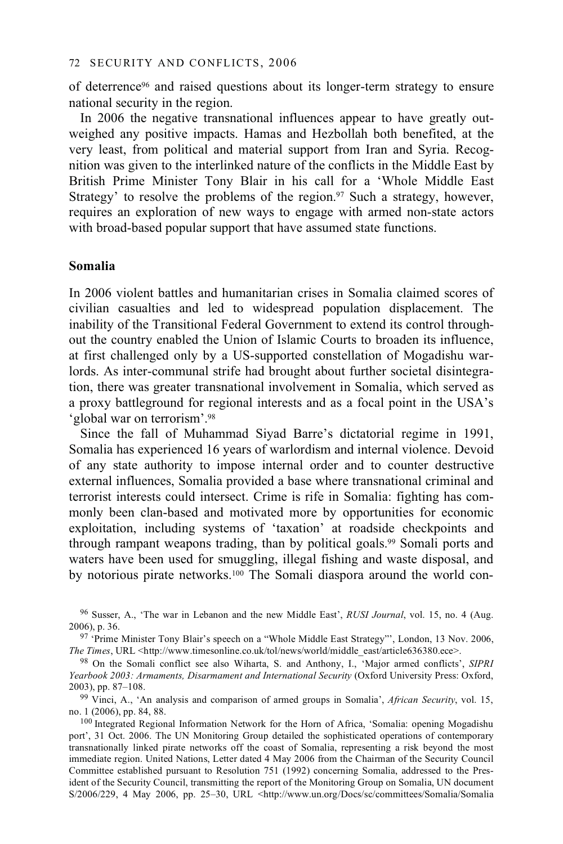of deterrence96 and raised questions about its longer-term strategy to ensure national security in the region.

In 2006 the negative transnational influences appear to have greatly outweighed any positive impacts. Hamas and Hezbollah both benefited, at the very least, from political and material support from Iran and Syria. Recognition was given to the interlinked nature of the conflicts in the Middle East by British Prime Minister Tony Blair in his call for a 'Whole Middle East Strategy' to resolve the problems of the region.<sup>97</sup> Such a strategy, however, requires an exploration of new ways to engage with armed non-state actors with broad-based popular support that have assumed state functions.

### **Somalia**

In 2006 violent battles and humanitarian crises in Somalia claimed scores of civilian casualties and led to widespread population displacement. The inability of the Transitional Federal Government to extend its control throughout the country enabled the Union of Islamic Courts to broaden its influence, at first challenged only by a US-supported constellation of Mogadishu warlords. As inter-communal strife had brought about further societal disintegration, there was greater transnational involvement in Somalia, which served as a proxy battleground for regional interests and as a focal point in the USA's 'global war on terrorism'.98

Since the fall of Muhammad Siyad Barre's dictatorial regime in 1991, Somalia has experienced 16 years of warlordism and internal violence. Devoid of any state authority to impose internal order and to counter destructive external influences, Somalia provided a base where transnational criminal and terrorist interests could intersect. Crime is rife in Somalia: fighting has commonly been clan-based and motivated more by opportunities for economic exploitation, including systems of 'taxation' at roadside checkpoints and through rampant weapons trading, than by political goals.<sup>99</sup> Somali ports and waters have been used for smuggling, illegal fishing and waste disposal, and by notorious pirate networks.100 The Somali diaspora around the world con-

<sup>96</sup> Susser, A., 'The war in Lebanon and the new Middle East', *RUSI Journal*, vol. 15, no. 4 (Aug. 2006), p. 36. 97 'Prime Minister Tony Blair's speech on a "Whole Middle East Strategy"', London, 13 Nov. 2006,

*The Times*, URL <http://www.timesonline.co.uk/tol/news/world/middle\_east/article636380.ece>.

<sup>98</sup> On the Somali conflict see also Wiharta, S. and Anthony, I., 'Major armed conflicts', *SIPRI Yearbook 2003: Armaments, Disarmament and International Security* (Oxford University Press: Oxford, 2003), pp. 87–108. 99 Vinci, A., 'An analysis and comparison of armed groups in Somalia', *African Security*, vol. 15,

no. 1 (2006), pp. 84, 88.<br><sup>100</sup> Integrated Regional Information Network for the Horn of Africa, 'Somalia: opening Mogadishu

port', 31 Oct. 2006. The UN Monitoring Group detailed the sophisticated operations of contemporary transnationally linked pirate networks off the coast of Somalia, representing a risk beyond the most immediate region. United Nations, Letter dated 4 May 2006 from the Chairman of the Security Council Committee established pursuant to Resolution 751 (1992) concerning Somalia, addressed to the President of the Security Council, transmitting the report of the Monitoring Group on Somalia, UN document S/2006/229, 4 May 2006, pp. 25–30, URL <http://www.un.org/Docs/sc/committees/Somalia/Somalia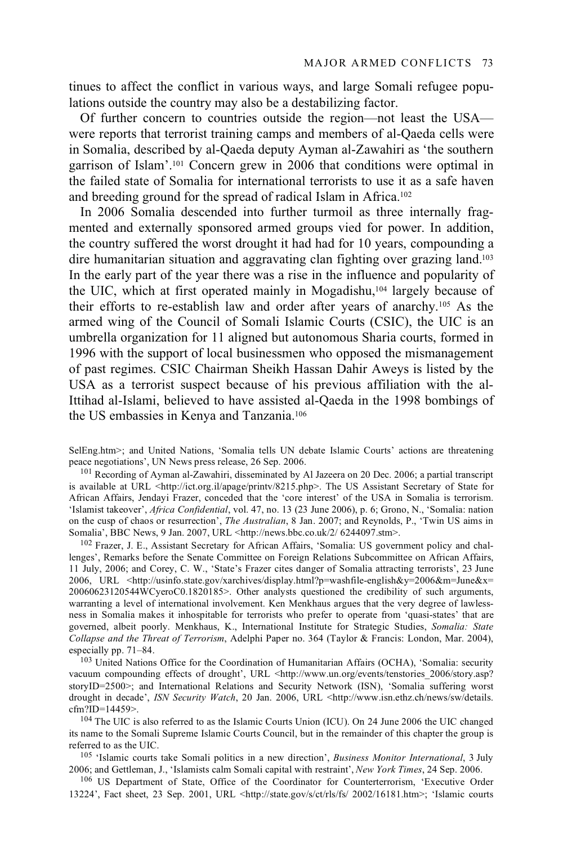tinues to affect the conflict in various ways, and large Somali refugee populations outside the country may also be a destabilizing factor.

Of further concern to countries outside the region—not least the USA were reports that terrorist training camps and members of al-Qaeda cells were in Somalia, described by al-Qaeda deputy Ayman al-Zawahiri as 'the southern garrison of Islam'.101 Concern grew in 2006 that conditions were optimal in the failed state of Somalia for international terrorists to use it as a safe haven and breeding ground for the spread of radical Islam in Africa.102

In 2006 Somalia descended into further turmoil as three internally fragmented and externally sponsored armed groups vied for power. In addition, the country suffered the worst drought it had had for 10 years, compounding a dire humanitarian situation and aggravating clan fighting over grazing land.103 In the early part of the year there was a rise in the influence and popularity of the UIC, which at first operated mainly in Mogadishu,104 largely because of their efforts to re-establish law and order after years of anarchy.105 As the armed wing of the Council of Somali Islamic Courts (CSIC), the UIC is an umbrella organization for 11 aligned but autonomous Sharia courts, formed in 1996 with the support of local businessmen who opposed the mismanagement of past regimes. CSIC Chairman Sheikh Hassan Dahir Aweys is listed by the USA as a terrorist suspect because of his previous affiliation with the al-Ittihad al-Islami, believed to have assisted al-Qaeda in the 1998 bombings of the US embassies in Kenya and Tanzania.106

SelEng.htm>; and United Nations, 'Somalia tells UN debate Islamic Courts' actions are threatening peace negotiations', UN News press release, 26 Sep. 2006.<br><sup>101</sup> Recording of Ayman al-Zawahiri, disseminated by Al Jazeera on 20 Dec. 2006; a partial transcript

is available at URL <http://ict.org.il/apage/printv/8215.php>. The US Assistant Secretary of State for African Affairs, Jendayi Frazer, conceded that the 'core interest' of the USA in Somalia is terrorism. 'Islamist takeover', *Africa Confidential*, vol. 47, no. 13 (23 June 2006), p. 6; Grono, N., 'Somalia: nation on the cusp of chaos or resurrection', *The Australian*, 8 Jan. 2007; and Reynolds, P., 'Twin US aims in Somalia', BBC News, 9 Jan. 2007, URL <http://news.bbc.co.uk/2/ 6244097.stm>.

<sup>102</sup> Frazer, J. E., Assistant Secretary for African Affairs, 'Somalia: US government policy and challenges', Remarks before the Senate Committee on Foreign Relations Subcommittee on African Affairs, 11 July, 2006; and Corey, C. W., 'State's Frazer cites danger of Somalia attracting terrorists', 23 June 2006, URL <http://usinfo.state.gov/xarchives/display.html?p=washfile-english&y=2006&m=June&x= 20060623120544WCyeroC0.1820185>. Other analysts questioned the credibility of such arguments, warranting a level of international involvement. Ken Menkhaus argues that the very degree of lawlessness in Somalia makes it inhospitable for terrorists who prefer to operate from 'quasi-states' that are governed, albeit poorly. Menkhaus, K., International Institute for Strategic Studies, *Somalia: State Collapse and the Threat of Terrorism*, Adelphi Paper no. 364 (Taylor & Francis: London, Mar. 2004), especially pp. 71–84.<br><sup>103</sup> United Nations Office for the Coordination of Humanitarian Affairs (OCHA), 'Somalia: security

vacuum compounding effects of drought', URL <http://www.un.org/events/tenstories\_2006/story.asp? storyID=2500>; and International Relations and Security Network (ISN), 'Somalia suffering worst drought in decade', *ISN Security Watch*, 20 Jan. 2006, URL <http://www.isn.ethz.ch/news/sw/details. cfm?ID=14459>.

 $104$  The UIC is also referred to as the Islamic Courts Union (ICU). On 24 June 2006 the UIC changed its name to the Somali Supreme Islamic Courts Council, but in the remainder of this chapter the group is

referred to as the UIC.<br><sup>105</sup> 'Islamic courts take Somali politics in a new direction', *Business Monitor International*, 3 July<br>2006; and Gettleman, J., 'Islamists calm Somali capital with restraint', *New York Times*, 24

<sup>106</sup> US Department of State, Office of the Coordinator for Counterterrorism, 'Executive Order 13224', Fact sheet, 23 Sep. 2001, URL <http://state.gov/s/ct/rls/fs/ 2002/16181.htm>; 'Islamic courts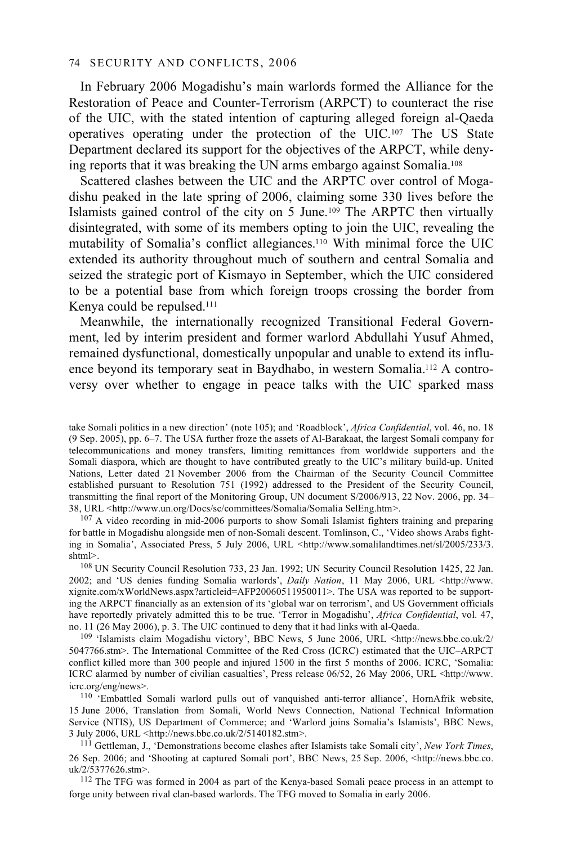In February 2006 Mogadishu's main warlords formed the Alliance for the Restoration of Peace and Counter-Terrorism (ARPCT) to counteract the rise of the UIC, with the stated intention of capturing alleged foreign al-Qaeda operatives operating under the protection of the UIC.107 The US State Department declared its support for the objectives of the ARPCT, while denying reports that it was breaking the UN arms embargo against Somalia.108

Scattered clashes between the UIC and the ARPTC over control of Mogadishu peaked in the late spring of 2006, claiming some 330 lives before the Islamists gained control of the city on 5 June.109 The ARPTC then virtually disintegrated, with some of its members opting to join the UIC, revealing the mutability of Somalia's conflict allegiances.110 With minimal force the UIC extended its authority throughout much of southern and central Somalia and seized the strategic port of Kismayo in September, which the UIC considered to be a potential base from which foreign troops crossing the border from Kenya could be repulsed.111

Meanwhile, the internationally recognized Transitional Federal Government, led by interim president and former warlord Abdullahi Yusuf Ahmed, remained dysfunctional, domestically unpopular and unable to extend its influence beyond its temporary seat in Baydhabo, in western Somalia.112 A controversy over whether to engage in peace talks with the UIC sparked mass

for battle in Mogadishu alongside men of non-Somali descent. Tomlinson, C., 'Video shows Arabs fighting in Somalia<sup>7</sup>, Associated Press, 5 July 2006, URL <http://www.somalilandtimes.net/sl/2005/233/3.<br>shtml>.

<sup>108</sup> UN Security Council Resolution 733, 23 Jan. 1992; UN Security Council Resolution 1425, 22 Jan. 2002; and 'US denies funding Somalia warlords', *Daily Nation*, 11 May 2006, URL <http://www. xignite.com/xWorldNews.aspx?articleid=AFP20060511950011>. The USA was reported to be supporting the ARPCT financially as an extension of its 'global war on terrorism', and US Government officials have reportedly privately admitted this to be true. 'Terror in Mogadishu', *Africa Confidential*, vol. 47, no. 11 (26 May 2006), p. 3. The UIC continued to deny that it had links with al-Qaeda.

<sup>109</sup> 'Islamists claim Mogadishu victory', BBC News, 5 June 2006, URL <http://news.bbc.co.uk/2/ 5047766.stm>. The International Committee of the Red Cross (ICRC) estimated that the UIC–ARPCT conflict killed more than 300 people and injured 1500 in the first 5 months of 2006. ICRC, 'Somalia: ICRC alarmed by number of civilian casualties', Press release 06/52, 26 May 2006, URL <http://www. icrc.org/eng/news>. 110 'Embattled Somali warlord pulls out of vanquished anti-terror alliance', HornAfrik website,

15 June 2006, Translation from Somali, World News Connection, National Technical Information Service (NTIS), US Department of Commerce; and 'Warlord joins Somalia's Islamists', BBC News, 3 July 2006, URL <http://news.bbc.co.uk/2/5140182.stm>. 111 Gettleman, J., 'Demonstrations become clashes after Islamists take Somali city', *New York Times*,

26 Sep. 2006; and 'Shooting at captured Somali port', BBC News, 25 Sep. 2006, <http://news.bbc.co.

<sup>112</sup> The TFG was formed in 2004 as part of the Kenya-based Somali peace process in an attempt to forge unity between rival clan-based warlords. The TFG moved to Somalia in early 2006.

take Somali politics in a new direction' (note 105); and 'Roadblock', *Africa Confidential*, vol. 46, no. 18 (9 Sep. 2005), pp. 6–7. The USA further froze the assets of Al-Barakaat, the largest Somali company for telecommunications and money transfers, limiting remittances from worldwide supporters and the Somali diaspora, which are thought to have contributed greatly to the UIC's military build-up. United Nations, Letter dated 21 November 2006 from the Chairman of the Security Council Committee established pursuant to Resolution 751 (1992) addressed to the President of the Security Council, transmitting the final report of the Monitoring Group, UN document S/2006/913, 22 Nov. 2006, pp. 34– 38, URL <http://www.un.org/Docs/sc/committees/Somalia/Somalia SelEng.htm>.<br><sup>107</sup> A video recording in mid-2006 purports to show Somali Islamist fighters training and preparing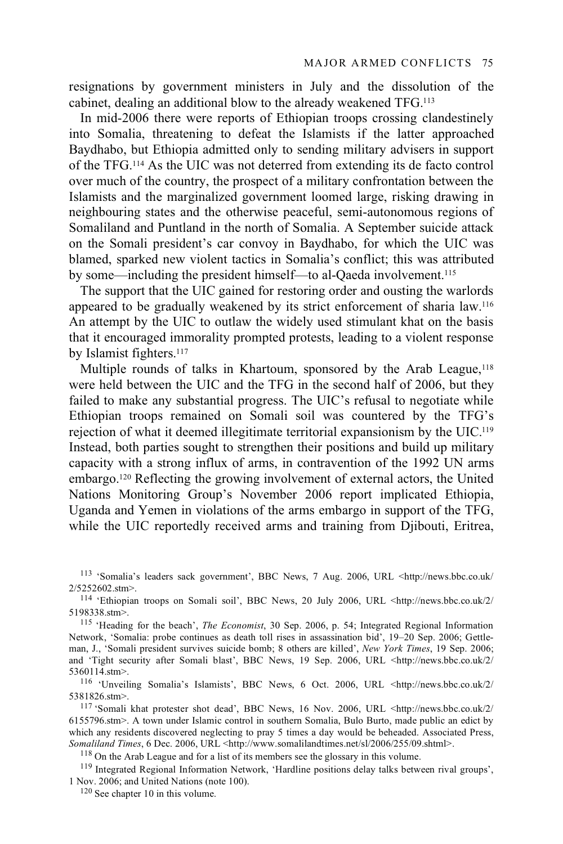resignations by government ministers in July and the dissolution of the cabinet, dealing an additional blow to the already weakened TFG.113

In mid-2006 there were reports of Ethiopian troops crossing clandestinely into Somalia, threatening to defeat the Islamists if the latter approached Baydhabo, but Ethiopia admitted only to sending military advisers in support of the TFG.114 As the UIC was not deterred from extending its de facto control over much of the country, the prospect of a military confrontation between the Islamists and the marginalized government loomed large, risking drawing in neighbouring states and the otherwise peaceful, semi-autonomous regions of Somaliland and Puntland in the north of Somalia. A September suicide attack on the Somali president's car convoy in Baydhabo, for which the UIC was blamed, sparked new violent tactics in Somalia's conflict; this was attributed by some—including the president himself—to al-Qaeda involvement.115

The support that the UIC gained for restoring order and ousting the warlords appeared to be gradually weakened by its strict enforcement of sharia law.116 An attempt by the UIC to outlaw the widely used stimulant khat on the basis that it encouraged immorality prompted protests, leading to a violent response by Islamist fighters.<sup>117</sup>

Multiple rounds of talks in Khartoum, sponsored by the Arab League,<sup>118</sup> were held between the UIC and the TFG in the second half of 2006, but they failed to make any substantial progress. The UIC's refusal to negotiate while Ethiopian troops remained on Somali soil was countered by the TFG's rejection of what it deemed illegitimate territorial expansionism by the UIC.119 Instead, both parties sought to strengthen their positions and build up military capacity with a strong influx of arms, in contravention of the 1992 UN arms embargo.120 Reflecting the growing involvement of external actors, the United Nations Monitoring Group's November 2006 report implicated Ethiopia, Uganda and Yemen in violations of the arms embargo in support of the TFG, while the UIC reportedly received arms and training from Djibouti, Eritrea,

113 'Somalia's leaders sack government', BBC News, 7 Aug. 2006, URL <http://news.bbc.co.uk/

2/5252602.stm>.<br><sup>114</sup> 'Ethiopian troops on Somali soil', BBC News, 20 July 2006, URL <http://news.bbc.co.uk/2/<br>5198338.stm>.

<sup>115</sup> 'Heading for the beach', *The Economist*, 30 Sep. 2006, p. 54; Integrated Regional Information Network, 'Somalia: probe continues as death toll rises in assassination bid', 19–20 Sep. 2006; Gettleman, J., 'Somali president survives suicide bomb; 8 others are killed', *New York Times*, 19 Sep. 2006; and 'Tight security after Somali blast', BBC News, 19 Sep. 2006, URL <http://news.bbc.co.uk/2/

5360114.stm>.<br><sup>116</sup> 'Unveiling Somalia's Islamists', BBC News, 6 Oct. 2006, URL <http://news.bbc.co.uk/2/<br>5381826.stm>.

<sup>117</sup> 'Somali khat protester shot dead', BBC News, 16 Nov. 2006, URL <http://news.bbc.co.uk/2/ 6155796.stm>. A town under Islamic control in southern Somalia, Bulo Burto, made public an edict by which any residents discovered neglecting to pray 5 times a day would be beheaded. Associated Press, Somaliland Times, 6 Dec. 2006, URL <http://www.somalilandtimes.net/sl/2006/255/09.shtml>.

<sup>118</sup> On the Arab League and for a list of its members see the glossary in this volume.<br><sup>119</sup> Integrated Regional Information Network, 'Hardline positions delay talks between rival groups', 1 Nov. 2006; and United Nations (note 100). 120 See chapter 10 in this volume.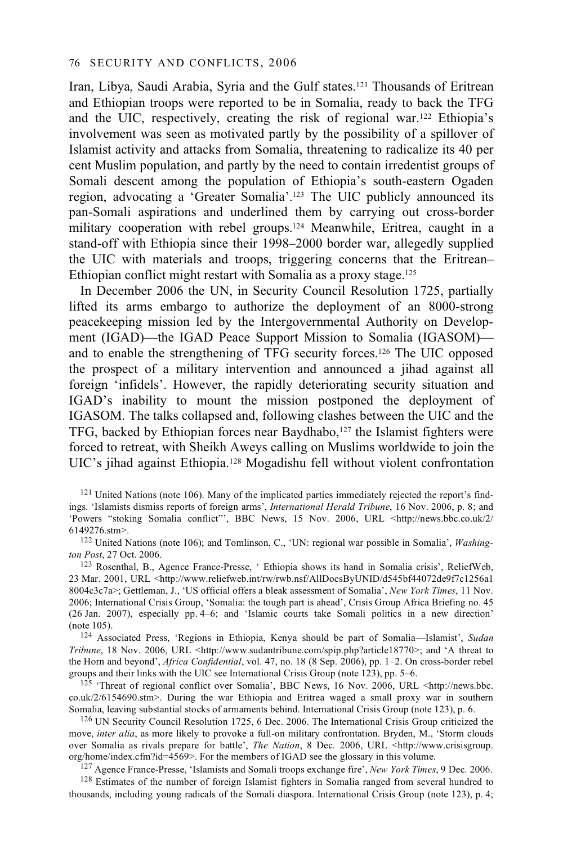Iran, Libya, Saudi Arabia, Syria and the Gulf states.121 Thousands of Eritrean and Ethiopian troops were reported to be in Somalia, ready to back the TFG and the UIC, respectively, creating the risk of regional war.122 Ethiopia's involvement was seen as motivated partly by the possibility of a spillover of Islamist activity and attacks from Somalia, threatening to radicalize its 40 per cent Muslim population, and partly by the need to contain irredentist groups of Somali descent among the population of Ethiopia's south-eastern Ogaden region, advocating a 'Greater Somalia'.123 The UIC publicly announced its pan-Somali aspirations and underlined them by carrying out cross-border military cooperation with rebel groups.<sup>124</sup> Meanwhile, Eritrea, caught in a stand-off with Ethiopia since their 1998–2000 border war, allegedly supplied the UIC with materials and troops, triggering concerns that the Eritrean– Ethiopian conflict might restart with Somalia as a proxy stage.125

In December 2006 the UN, in Security Council Resolution 1725, partially lifted its arms embargo to authorize the deployment of an 8000-strong peacekeeping mission led by the Intergovernmental Authority on Development (IGAD)—the IGAD Peace Support Mission to Somalia (IGASOM) and to enable the strengthening of TFG security forces.126 The UIC opposed the prospect of a military intervention and announced a jihad against all foreign 'infidels'. However, the rapidly deteriorating security situation and IGAD's inability to mount the mission postponed the deployment of IGASOM. The talks collapsed and, following clashes between the UIC and the TFG, backed by Ethiopian forces near Baydhabo,127 the Islamist fighters were forced to retreat, with Sheikh Aweys calling on Muslims worldwide to join the UIC's jihad against Ethiopia.128 Mogadishu fell without violent confrontation

<sup>121</sup> United Nations (note 106). Many of the implicated parties immediately rejected the report's findings. 'Islamists dismiss reports of foreign arms', *International Herald Tribune*, 16 Nov. 2006, p. 8; and 'Powers "stoking Somalia conflict"', BBC News, 15 Nov. 2006, URL <http://news.bbc.co.uk/2/<br>6149276.stm>.

<sup>122</sup> United Nations (note 106); and Tomlinson, C., 'UN: regional war possible in Somalia', *Washing-ton Post*, 27 Oct. 2006.

<sup>123</sup> Rosenthal, B., Agence France-Presse, ' Ethiopia shows its hand in Somalia crisis', ReliefWeb, 23 Mar. 2001, URL <http://www.reliefweb.int/rw/rwb.nsf/AllDocsByUNID/d545bf44072de9f7c1256a1 8004c3c7a>; Gettleman, J., 'US official offers a bleak assessment of Somalia', *New York Times*, 11 Nov. 2006; International Crisis Group, 'Somalia: the tough part is ahead', Crisis Group Africa Briefing no. 45 (26 Jan. 2007), especially pp. 4–6; and 'Islamic courts take Somali politics in a new direction' (note 105). 124 Associated Press, 'Regions in Ethiopia, Kenya should be part of Somalia—Islamist', *Sudan* 

*Tribune*, 18 Nov. 2006, URL <http://www.sudantribune.com/spip.php?article18770>; and 'A threat to the Horn and beyond', *Africa Confidential*, vol. 47, no. 18 (8 Sep. 2006), pp. 1–2. On cross-border rebel

<sup>125</sup> 'Threat of regional conflict over Somalia', BBC News, 16 Nov. 2006, URL <http://news.bbc. co.uk/2/6154690.stm>. During the war Ethiopia and Eritrea waged a small proxy war in southern Somalia, leaving substantial stocks of armaments behind. International Crisis Group (note 123), p. 6.

 $126$  UN Security Council Resolution 1725, 6 Dec. 2006. The International Crisis Group criticized the move, *inter alia*, as more likely to provoke a full-on military confrontation. Bryden, M., 'Storm clouds over Somalia as rivals prepare for battle', *The Nation*, 8 Dec. 2006, URL <http://www.crisisgroup. org/home/index.cfm?id=4569>. For the members of IGAD see the glossary in this volume.<br><sup>127</sup> Agence France-Presse, 'Islamists and Somali troops exchange fire', *New York Times*, 9 Dec. 2006.<br><sup>128</sup> Estimates of the number of

thousands, including young radicals of the Somali diaspora. International Crisis Group (note 123), p. 4;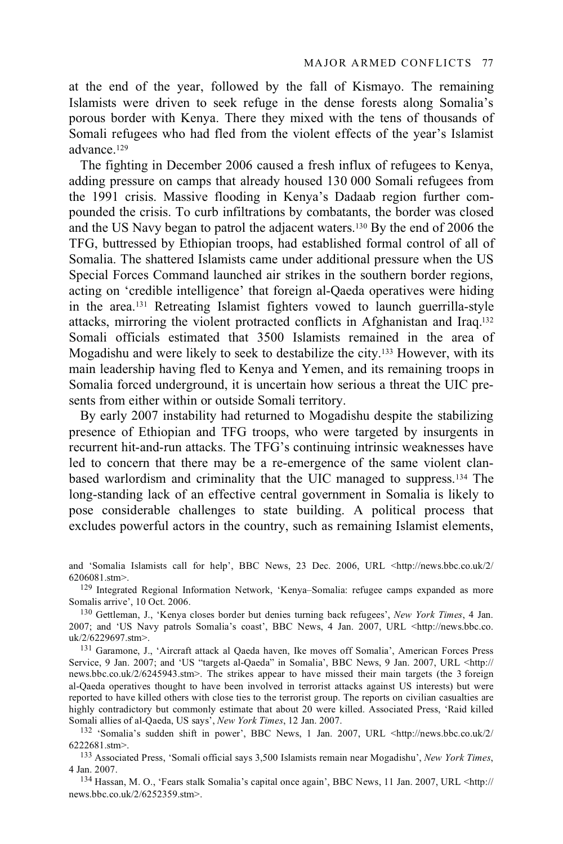at the end of the year, followed by the fall of Kismayo. The remaining Islamists were driven to seek refuge in the dense forests along Somalia's porous border with Kenya. There they mixed with the tens of thousands of Somali refugees who had fled from the violent effects of the year's Islamist advance.129

The fighting in December 2006 caused a fresh influx of refugees to Kenya, adding pressure on camps that already housed 130 000 Somali refugees from the 1991 crisis. Massive flooding in Kenya's Dadaab region further compounded the crisis. To curb infiltrations by combatants, the border was closed and the US Navy began to patrol the adjacent waters.130 By the end of 2006 the TFG, buttressed by Ethiopian troops, had established formal control of all of Somalia. The shattered Islamists came under additional pressure when the US Special Forces Command launched air strikes in the southern border regions, acting on 'credible intelligence' that foreign al-Qaeda operatives were hiding in the area.131 Retreating Islamist fighters vowed to launch guerrilla-style attacks, mirroring the violent protracted conflicts in Afghanistan and Iraq.132 Somali officials estimated that 3500 Islamists remained in the area of Mogadishu and were likely to seek to destabilize the city.133 However, with its main leadership having fled to Kenya and Yemen, and its remaining troops in Somalia forced underground, it is uncertain how serious a threat the UIC presents from either within or outside Somali territory.

By early 2007 instability had returned to Mogadishu despite the stabilizing presence of Ethiopian and TFG troops, who were targeted by insurgents in recurrent hit-and-run attacks. The TFG's continuing intrinsic weaknesses have led to concern that there may be a re-emergence of the same violent clanbased warlordism and criminality that the UIC managed to suppress.134 The long-standing lack of an effective central government in Somalia is likely to pose considerable challenges to state building. A political process that excludes powerful actors in the country, such as remaining Islamist elements,

6206081.stm>.<br><sup>129</sup> Integrated Regional Information Network, 'Kenya–Somalia: refugee camps expanded as more<br>Somalis arrive'. 10 Oct. 2006.

<sup>130</sup> Gettleman, J., 'Kenya closes border but denies turning back refugees', *New York Times*, 4 Jan. 2007; and 'US Navy patrols Somalia's coast', BBC News, 4 Jan. 2007, URL <http://news.bbc.co.

<sup>131</sup> Garamone, J., 'Aircraft attack al Qaeda haven, Ike moves off Somalia', American Forces Press Service, 9 Jan. 2007; and 'US "targets al-Qaeda" in Somalia', BBC News, 9 Jan. 2007, URL <http:// news.bbc.co.uk/2/6245943.stm>. The strikes appear to have missed their main targets (the 3 foreign al-Qaeda operatives thought to have been involved in terrorist attacks against US interests) but were reported to have killed others with close ties to the terrorist group. The reports on civilian casualties are highly contradictory but commonly estimate that about 20 were killed. Associated Press, 'Raid killed Somali allies of al-Qaeda, US says', New York Times, 12 Jan. 2007.

<sup>132</sup> 'Somalia's sudden shift in power', BBC News, 1 Jan. 2007, URL <http://news.bbc.co.uk/2/ 6222681.stm>. 133 Associated Press, 'Somali official says 3,500 Islamists remain near Mogadishu', *New York Times*,

4 Jan. 2007. 134 Hassan, M. O., 'Fears stalk Somalia's capital once again', BBC News, 11 Jan. 2007, URL <http://

news.bbc.co.uk/2/6252359.stm>.

and 'Somalia Islamists call for help', BBC News, 23 Dec. 2006, URL <http://news.bbc.co.uk/2/